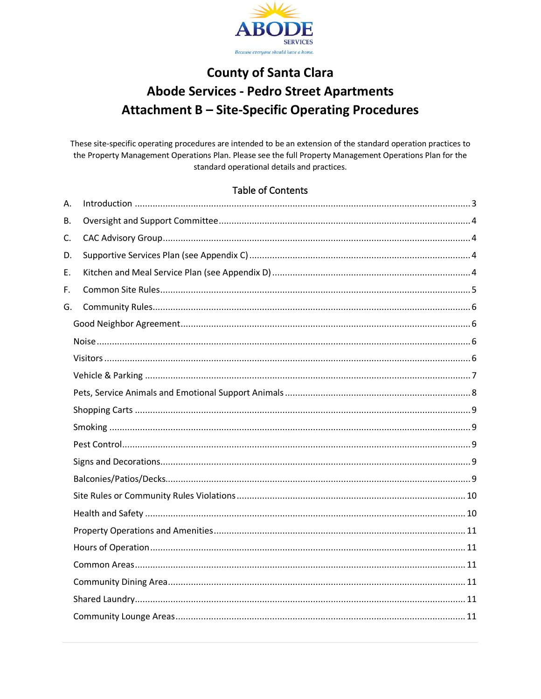

# **County of Santa Clara Abode Services - Pedro Street Apartments Attachment B - Site-Specific Operating Procedures**

These site-specific operating procedures are intended to be an extension of the standard operation practices to the Property Management Operations Plan. Please see the full Property Management Operations Plan for the standard operational details and practices.

### **Table of Contents**

| Α. |  |
|----|--|
| Β. |  |
| C. |  |
| D. |  |
| Ε. |  |
| F. |  |
| G. |  |
|    |  |
|    |  |
|    |  |
|    |  |
|    |  |
|    |  |
|    |  |
|    |  |
|    |  |
|    |  |
|    |  |
|    |  |
|    |  |
|    |  |
|    |  |
|    |  |
|    |  |
|    |  |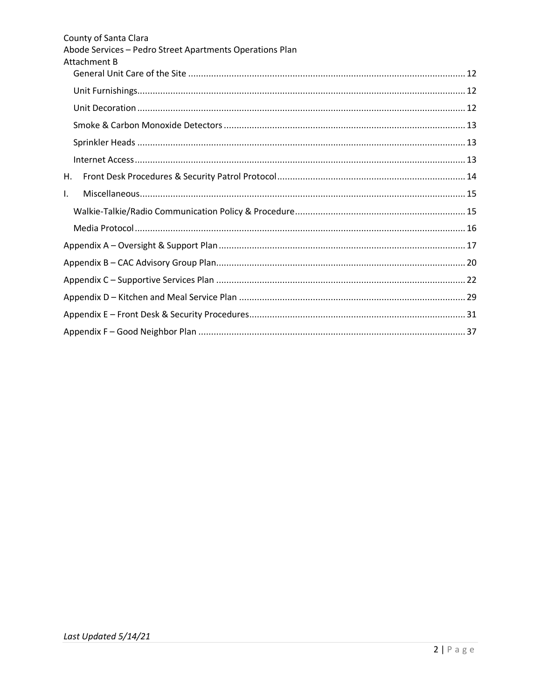| County of Santa Clara<br>Abode Services - Pedro Street Apartments Operations Plan<br>Attachment B |  |  |  |  |
|---------------------------------------------------------------------------------------------------|--|--|--|--|
|                                                                                                   |  |  |  |  |
|                                                                                                   |  |  |  |  |
|                                                                                                   |  |  |  |  |
|                                                                                                   |  |  |  |  |
|                                                                                                   |  |  |  |  |
|                                                                                                   |  |  |  |  |
| Н.                                                                                                |  |  |  |  |
| I.                                                                                                |  |  |  |  |
|                                                                                                   |  |  |  |  |
|                                                                                                   |  |  |  |  |
|                                                                                                   |  |  |  |  |
|                                                                                                   |  |  |  |  |
|                                                                                                   |  |  |  |  |
|                                                                                                   |  |  |  |  |
|                                                                                                   |  |  |  |  |
|                                                                                                   |  |  |  |  |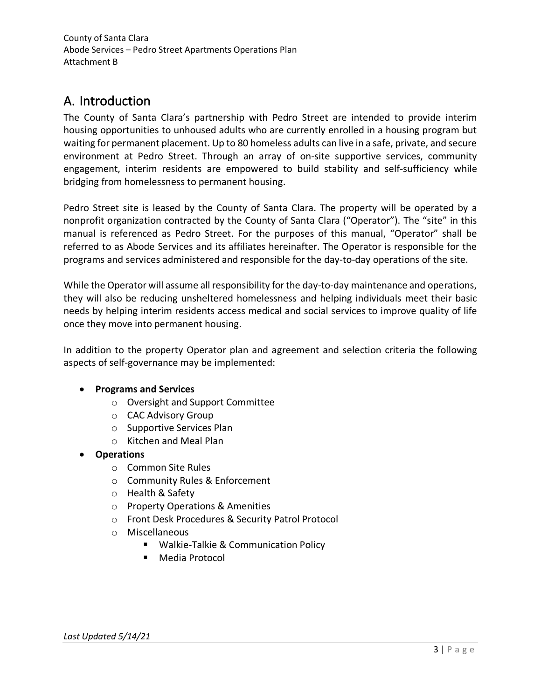# <span id="page-2-0"></span>A. Introduction

The County of Santa Clara's partnership with Pedro Street are intended to provide interim housing opportunities to unhoused adults who are currently enrolled in a housing program but waiting for permanent placement. Up to 80 homeless adults can live in a safe, private, and secure environment at Pedro Street. Through an array of on-site supportive services, community engagement, interim residents are empowered to build stability and self-sufficiency while bridging from homelessness to permanent housing.

Pedro Street site is leased by the County of Santa Clara. The property will be operated by a nonprofit organization contracted by the County of Santa Clara ("Operator"). The "site" in this manual is referenced as Pedro Street. For the purposes of this manual, "Operator" shall be referred to as Abode Services and its affiliates hereinafter. The Operator is responsible for the programs and services administered and responsible for the day-to-day operations of the site.

While the Operator will assume all responsibility for the day-to-day maintenance and operations, they will also be reducing unsheltered homelessness and helping individuals meet their basic needs by helping interim residents access medical and social services to improve quality of life once they move into permanent housing.

In addition to the property Operator plan and agreement and selection criteria the following aspects of self-governance may be implemented:

## • **Programs and Services**

- o Oversight and Support Committee
- o CAC Advisory Group
- o Supportive Services Plan
- o Kitchen and Meal Plan
- **Operations**
	- o Common Site Rules
	- o Community Rules & Enforcement
	- o Health & Safety
	- o Property Operations & Amenities
	- o Front Desk Procedures & Security Patrol Protocol
	- o Miscellaneous
		- Walkie-Talkie & Communication Policy
		- **Media Protocol**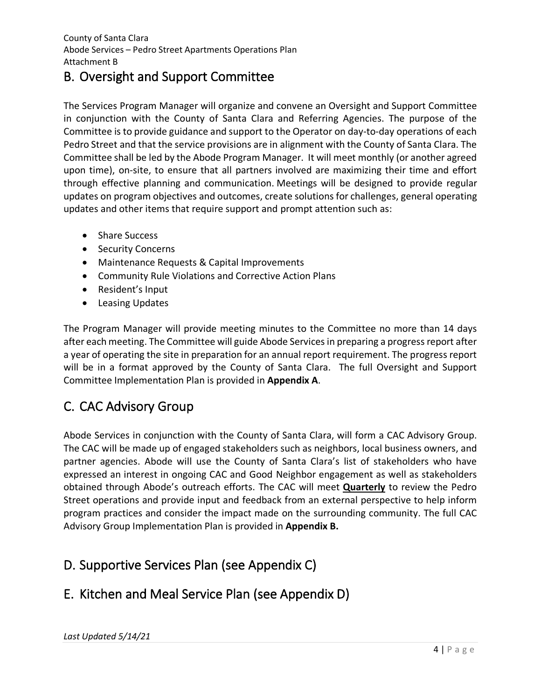# <span id="page-3-0"></span>B. Oversight and Support Committee

The Services Program Manager will organize and convene an Oversight and Support Committee in conjunction with the County of Santa Clara and Referring Agencies. The purpose of the Committee is to provide guidance and support to the Operator on day-to-day operations of each Pedro Street and that the service provisions are in alignment with the County of Santa Clara. The Committee shall be led by the Abode Program Manager. It will meet monthly (or another agreed upon time), on-site, to ensure that all partners involved are maximizing their time and effort through effective planning and communication. Meetings will be designed to provide regular updates on program objectives and outcomes, create solutions for challenges, general operating updates and other items that require support and prompt attention such as:

- Share Success
- Security Concerns
- Maintenance Requests & Capital Improvements
- Community Rule Violations and Corrective Action Plans
- Resident's Input
- Leasing Updates

The Program Manager will provide meeting minutes to the Committee no more than 14 days after each meeting. The Committee will guide Abode Servicesin preparing a progress report after a year of operating the site in preparation for an annual report requirement. The progress report will be in a format approved by the County of Santa Clara. The full Oversight and Support Committee Implementation Plan is provided in **Appendix A**.

# <span id="page-3-1"></span>C. CAC Advisory Group

Abode Services in conjunction with the County of Santa Clara, will form a CAC Advisory Group. The CAC will be made up of engaged stakeholders such as neighbors, local business owners, and partner agencies. Abode will use the County of Santa Clara's list of stakeholders who have expressed an interest in ongoing CAC and Good Neighbor engagement as well as stakeholders obtained through Abode's outreach efforts. The CAC will meet **Quarterly** to review the Pedro Street operations and provide input and feedback from an external perspective to help inform program practices and consider the impact made on the surrounding community. The full CAC Advisory Group Implementation Plan is provided in **Appendix B.**

# <span id="page-3-2"></span>D. Supportive Services Plan (see Appendix C)

# <span id="page-3-3"></span>E. Kitchen and Meal Service Plan (see Appendix D)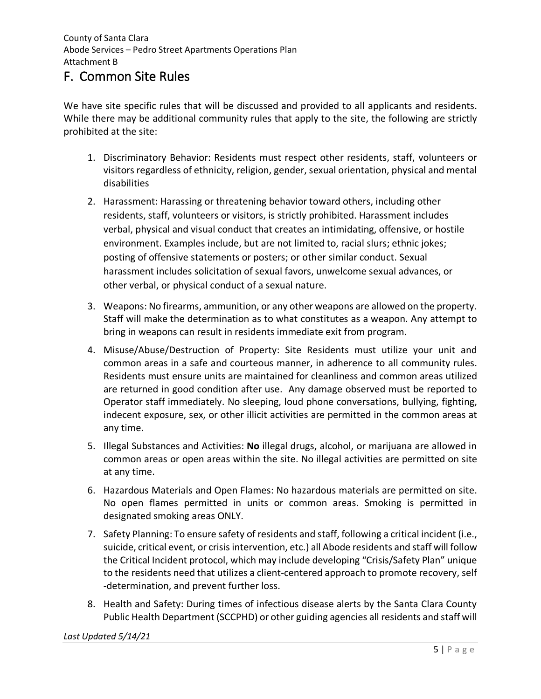# <span id="page-4-0"></span>F. Common Site Rules

We have site specific rules that will be discussed and provided to all applicants and residents. While there may be additional community rules that apply to the site, the following are strictly prohibited at the site:

- 1. Discriminatory Behavior: Residents must respect other residents, staff, volunteers or visitors regardless of ethnicity, religion, gender, sexual orientation, physical and mental disabilities
- 2. Harassment: Harassing or threatening behavior toward others, including other residents, staff, volunteers or visitors, is strictly prohibited. Harassment includes verbal, physical and visual conduct that creates an intimidating, offensive, or hostile environment. Examples include, but are not limited to, racial slurs; ethnic jokes; posting of offensive statements or posters; or other similar conduct. Sexual harassment includes solicitation of sexual favors, unwelcome sexual advances, or other verbal, or physical conduct of a sexual nature.
- 3. Weapons: No firearms, ammunition, or any other weapons are allowed on the property. Staff will make the determination as to what constitutes as a weapon. Any attempt to bring in weapons can result in residents immediate exit from program.
- 4. Misuse/Abuse/Destruction of Property: Site Residents must utilize your unit and common areas in a safe and courteous manner, in adherence to all community rules. Residents must ensure units are maintained for cleanliness and common areas utilized are returned in good condition after use. Any damage observed must be reported to Operator staff immediately. No sleeping, loud phone conversations, bullying, fighting, indecent exposure, sex, or other illicit activities are permitted in the common areas at any time.
- 5. Illegal Substances and Activities: **No** illegal drugs, alcohol, or marijuana are allowed in common areas or open areas within the site. No illegal activities are permitted on site at any time.
- 6. Hazardous Materials and Open Flames: No hazardous materials are permitted on site. No open flames permitted in units or common areas. Smoking is permitted in designated smoking areas ONLY.
- 7. Safety Planning: To ensure safety of residents and staff, following a critical incident (i.e., suicide, critical event, or crisis intervention, etc.) all Abode residents and staff will follow the Critical Incident protocol, which may include developing "Crisis/Safety Plan" unique to the residents need that utilizes a client-centered approach to promote recovery, self -determination, and prevent further loss.
- 8. Health and Safety: During times of infectious disease alerts by the Santa Clara County Public Health Department (SCCPHD) or other guiding agencies all residents and staff will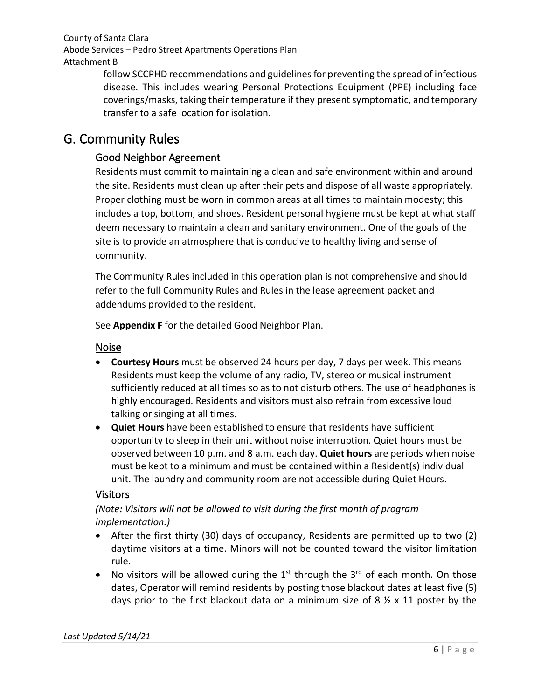follow SCCPHD recommendations and guidelines for preventing the spread of infectious disease. This includes wearing Personal Protections Equipment (PPE) including face coverings/masks, taking their temperature if they present symptomatic, and temporary transfer to a safe location for isolation.

# <span id="page-5-1"></span><span id="page-5-0"></span>G. Community Rules

# Good Neighbor Agreement

Residents must commit to maintaining a clean and safe environment within and around the site. Residents must clean up after their pets and dispose of all waste appropriately. Proper clothing must be worn in common areas at all times to maintain modesty; this includes a top, bottom, and shoes. Resident personal hygiene must be kept at what staff deem necessary to maintain a clean and sanitary environment. One of the goals of the site is to provide an atmosphere that is conducive to healthy living and sense of community.

The Community Rules included in this operation plan is not comprehensive and should refer to the full Community Rules and Rules in the lease agreement packet and addendums provided to the resident.

See **Appendix F** for the detailed Good Neighbor Plan.

## <span id="page-5-2"></span>Noise

- **Courtesy Hours** must be observed 24 hours per day, 7 days per week. This means Residents must keep the volume of any radio, TV, stereo or musical instrument sufficiently reduced at all times so as to not disturb others. The use of headphones is highly encouraged. Residents and visitors must also refrain from excessive loud talking or singing at all times.
- **Quiet Hours** have been established to ensure that residents have sufficient opportunity to sleep in their unit without noise interruption. Quiet hours must be observed between 10 p.m. and 8 a.m. each day. **Quiet hours** are periods when noise must be kept to a minimum and must be contained within a Resident(s) individual unit. The laundry and community room are not accessible during Quiet Hours.

## <span id="page-5-3"></span>Visitors

*(Note: Visitors will not be allowed to visit during the first month of program implementation.)*

- After the first thirty (30) days of occupancy, Residents are permitted up to two (2) daytime visitors at a time. Minors will not be counted toward the visitor limitation rule.
- No visitors will be allowed during the  $1^{st}$  through the  $3^{rd}$  of each month. On those dates, Operator will remind residents by posting those blackout dates at least five (5) days prior to the first blackout data on a minimum size of 8  $\frac{1}{2}$  x 11 poster by the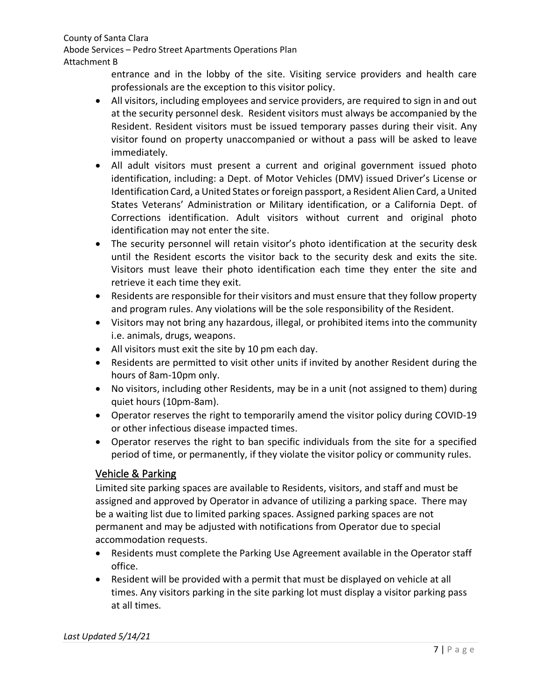Abode Services – Pedro Street Apartments Operations Plan Attachment B

> entrance and in the lobby of the site. Visiting service providers and health care professionals are the exception to this visitor policy.

- All visitors, including employees and service providers, are required to sign in and out at the security personnel desk. Resident visitors must always be accompanied by the Resident. Resident visitors must be issued temporary passes during their visit. Any visitor found on property unaccompanied or without a pass will be asked to leave immediately.
- All adult visitors must present a current and original government issued photo identification, including: a Dept. of Motor Vehicles (DMV) issued Driver's License or Identification Card, a United States or foreign passport, a Resident Alien Card, a United States Veterans' Administration or Military identification, or a California Dept. of Corrections identification. Adult visitors without current and original photo identification may not enter the site.
- The security personnel will retain visitor's photo identification at the security desk until the Resident escorts the visitor back to the security desk and exits the site. Visitors must leave their photo identification each time they enter the site and retrieve it each time they exit.
- Residents are responsible for their visitors and must ensure that they follow property and program rules. Any violations will be the sole responsibility of the Resident.
- Visitors may not bring any hazardous, illegal, or prohibited items into the community i.e. animals, drugs, weapons.
- All visitors must exit the site by 10 pm each day.
- Residents are permitted to visit other units if invited by another Resident during the hours of 8am-10pm only.
- No visitors, including other Residents, may be in a unit (not assigned to them) during quiet hours (10pm-8am).
- Operator reserves the right to temporarily amend the visitor policy during COVID-19 or other infectious disease impacted times.
- Operator reserves the right to ban specific individuals from the site for a specified period of time, or permanently, if they violate the visitor policy or community rules.

# <span id="page-6-0"></span>Vehicle & Parking

Limited site parking spaces are available to Residents, visitors, and staff and must be assigned and approved by Operator in advance of utilizing a parking space. There may be a waiting list due to limited parking spaces. Assigned parking spaces are not permanent and may be adjusted with notifications from Operator due to special accommodation requests.

- Residents must complete the Parking Use Agreement available in the Operator staff office.
- Resident will be provided with a permit that must be displayed on vehicle at all times. Any visitors parking in the site parking lot must display a visitor parking pass at all times.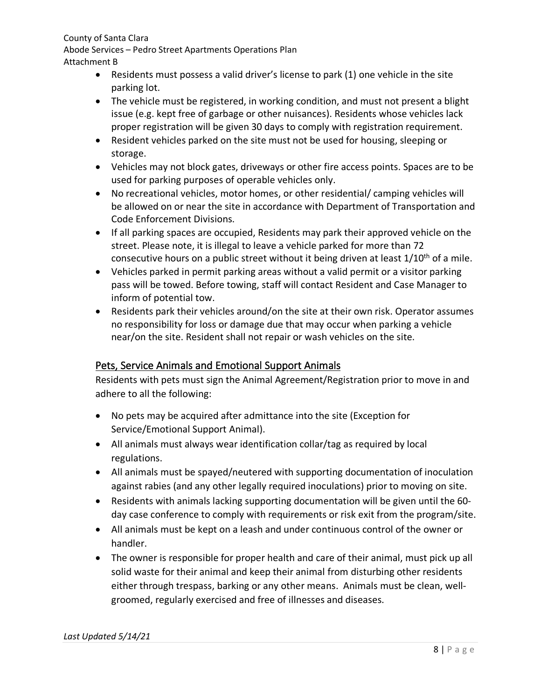Abode Services – Pedro Street Apartments Operations Plan Attachment B

- Residents must possess a valid driver's license to park (1) one vehicle in the site parking lot.
- The vehicle must be registered, in working condition, and must not present a blight issue (e.g. kept free of garbage or other nuisances). Residents whose vehicles lack proper registration will be given 30 days to comply with registration requirement.
- Resident vehicles parked on the site must not be used for housing, sleeping or storage.
- Vehicles may not block gates, driveways or other fire access points. Spaces are to be used for parking purposes of operable vehicles only.
- No recreational vehicles, motor homes, or other residential/ camping vehicles will be allowed on or near the site in accordance with Department of Transportation and Code Enforcement Divisions.
- If all parking spaces are occupied, Residents may park their approved vehicle on the street. Please note, it is illegal to leave a vehicle parked for more than 72 consecutive hours on a public street without it being driven at least  $1/10^{th}$  of a mile.
- Vehicles parked in permit parking areas without a valid permit or a visitor parking pass will be towed. Before towing, staff will contact Resident and Case Manager to inform of potential tow.
- Residents park their vehicles around/on the site at their own risk. Operator assumes no responsibility for loss or damage due that may occur when parking a vehicle near/on the site. Resident shall not repair or wash vehicles on the site.

# <span id="page-7-0"></span>Pets, Service Animals and Emotional Support Animals

Residents with pets must sign the Animal Agreement/Registration prior to move in and adhere to all the following:

- No pets may be acquired after admittance into the site (Exception for Service/Emotional Support Animal).
- All animals must always wear identification collar/tag as required by local regulations.
- All animals must be spayed/neutered with supporting documentation of inoculation against rabies (and any other legally required inoculations) prior to moving on site.
- Residents with animals lacking supporting documentation will be given until the 60 day case conference to comply with requirements or risk exit from the program/site.
- All animals must be kept on a leash and under continuous control of the owner or handler.
- The owner is responsible for proper health and care of their animal, must pick up all solid waste for their animal and keep their animal from disturbing other residents either through trespass, barking or any other means. Animals must be clean, wellgroomed, regularly exercised and free of illnesses and diseases.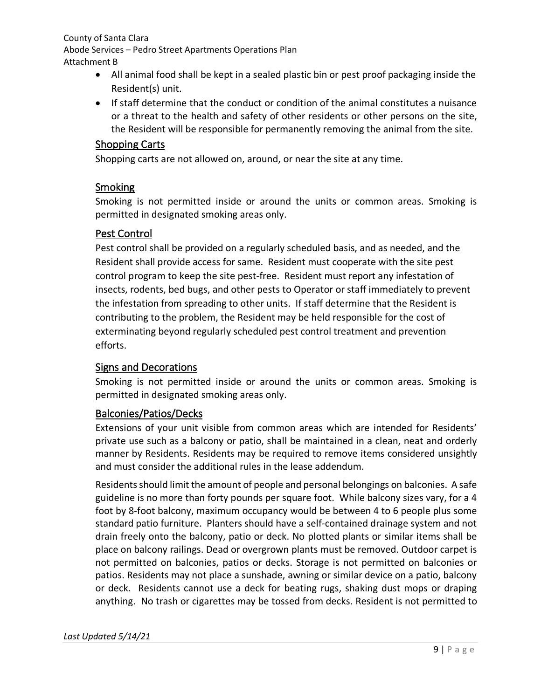- All animal food shall be kept in a sealed plastic bin or pest proof packaging inside the Resident(s) unit.
- If staff determine that the conduct or condition of the animal constitutes a nuisance or a threat to the health and safety of other residents or other persons on the site, the Resident will be responsible for permanently removing the animal from the site.

# <span id="page-8-0"></span>Shopping Carts

Shopping carts are not allowed on, around, or near the site at any time.

# <span id="page-8-1"></span>Smoking

Smoking is not permitted inside or around the units or common areas. Smoking is permitted in designated smoking areas only.

# <span id="page-8-2"></span>Pest Control

Pest control shall be provided on a regularly scheduled basis, and as needed, and the Resident shall provide access for same. Resident must cooperate with the site pest control program to keep the site pest-free. Resident must report any infestation of insects, rodents, bed bugs, and other pests to Operator or staff immediately to prevent the infestation from spreading to other units. If staff determine that the Resident is contributing to the problem, the Resident may be held responsible for the cost of exterminating beyond regularly scheduled pest control treatment and prevention efforts.

# <span id="page-8-3"></span>Signs and Decorations

Smoking is not permitted inside or around the units or common areas. Smoking is permitted in designated smoking areas only.

# <span id="page-8-4"></span>Balconies/Patios/Decks

Extensions of your unit visible from common areas which are intended for Residents' private use such as a balcony or patio, shall be maintained in a clean, neat and orderly manner by Residents. Residents may be required to remove items considered unsightly and must consider the additional rules in the lease addendum.

Residents should limit the amount of people and personal belongings on balconies. A safe guideline is no more than forty pounds per square foot. While balcony sizes vary, for a 4 foot by 8-foot balcony, maximum occupancy would be between 4 to 6 people plus some standard patio furniture. Planters should have a self-contained drainage system and not drain freely onto the balcony, patio or deck. No plotted plants or similar items shall be place on balcony railings. Dead or overgrown plants must be removed. Outdoor carpet is not permitted on balconies, patios or decks. Storage is not permitted on balconies or patios. Residents may not place a sunshade, awning or similar device on a patio, balcony or deck. Residents cannot use a deck for beating rugs, shaking dust mops or draping anything. No trash or cigarettes may be tossed from decks. Resident is not permitted to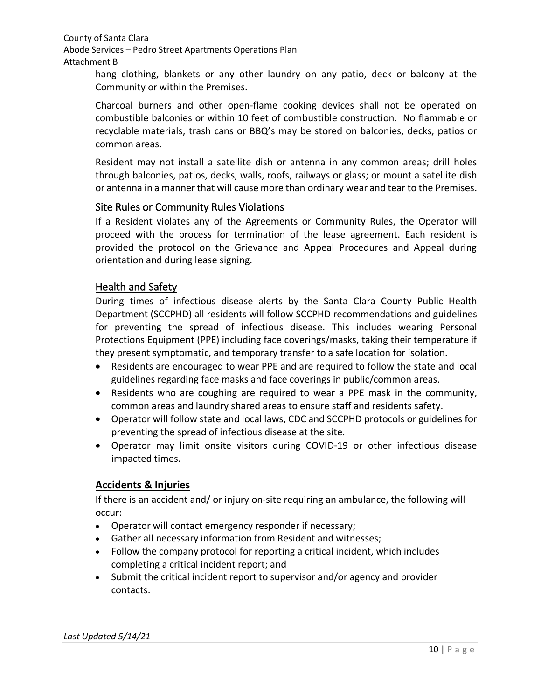hang clothing, blankets or any other laundry on any patio, deck or balcony at the Community or within the Premises.

Charcoal burners and other open-flame cooking devices shall not be operated on combustible balconies or within 10 feet of combustible construction. No flammable or recyclable materials, trash cans or BBQ's may be stored on balconies, decks, patios or common areas.

Resident may not install a satellite dish or antenna in any common areas; drill holes through balconies, patios, decks, walls, roofs, railways or glass; or mount a satellite dish or antenna in a manner that will cause more than ordinary wear and tear to the Premises.

## <span id="page-9-0"></span>Site Rules or Community Rules Violations

If a Resident violates any of the Agreements or Community Rules, the Operator will proceed with the process for termination of the lease agreement. Each resident is provided the protocol on the Grievance and Appeal Procedures and Appeal during orientation and during lease signing.

## <span id="page-9-1"></span>Health and Safety

During times of infectious disease alerts by the Santa Clara County Public Health Department (SCCPHD) all residents will follow SCCPHD recommendations and guidelines for preventing the spread of infectious disease. This includes wearing Personal Protections Equipment (PPE) including face coverings/masks, taking their temperature if they present symptomatic, and temporary transfer to a safe location for isolation.

- Residents are encouraged to wear PPE and are required to follow the state and local guidelines regarding face masks and face coverings in public/common areas.
- Residents who are coughing are required to wear a PPE mask in the community, common areas and laundry shared areas to ensure staff and residents safety.
- Operator will follow state and local laws, CDC and SCCPHD protocols or guidelines for preventing the spread of infectious disease at the site.
- Operator may limit onsite visitors during COVID-19 or other infectious disease impacted times.

## **Accidents & Injuries**

If there is an accident and/ or injury on-site requiring an ambulance, the following will occur:

- Operator will contact emergency responder if necessary;
- Gather all necessary information from Resident and witnesses;
- Follow the company protocol for reporting a critical incident, which includes completing a critical incident report; and
- Submit the critical incident report to supervisor and/or agency and provider contacts.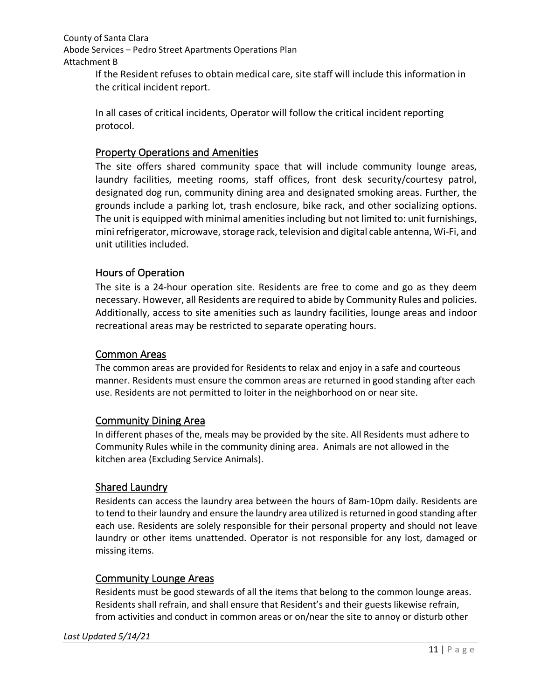If the Resident refuses to obtain medical care, site staff will include this information in the critical incident report.

In all cases of critical incidents, Operator will follow the critical incident reporting protocol.

# <span id="page-10-0"></span>Property Operations and Amenities

The site offers shared community space that will include community lounge areas, laundry facilities, meeting rooms, staff offices, front desk security/courtesy patrol, designated dog run, community dining area and designated smoking areas. Further, the grounds include a parking lot, trash enclosure, bike rack, and other socializing options. The unit is equipped with minimal amenities including but not limited to: unit furnishings, mini refrigerator, microwave, storage rack, television and digital cable antenna, Wi-Fi, and unit utilities included.

# <span id="page-10-1"></span>Hours of Operation

The site is a 24-hour operation site. Residents are free to come and go as they deem necessary. However, all Residents are required to abide by Community Rules and policies. Additionally, access to site amenities such as laundry facilities, lounge areas and indoor recreational areas may be restricted to separate operating hours.

# <span id="page-10-2"></span>Common Areas

The common areas are provided for Residents to relax and enjoy in a safe and courteous manner. Residents must ensure the common areas are returned in good standing after each use. Residents are not permitted to loiter in the neighborhood on or near site.

# <span id="page-10-3"></span>Community Dining Area

In different phases of the, meals may be provided by the site. All Residents must adhere to Community Rules while in the community dining area. Animals are not allowed in the kitchen area (Excluding Service Animals).

# <span id="page-10-4"></span>Shared Laundry

Residents can access the laundry area between the hours of 8am-10pm daily. Residents are to tend to their laundry and ensure the laundry area utilized is returned in good standing after each use. Residents are solely responsible for their personal property and should not leave laundry or other items unattended. Operator is not responsible for any lost, damaged or missing items.

# <span id="page-10-5"></span>Community Lounge Areas

Residents must be good stewards of all the items that belong to the common lounge areas. Residents shall refrain, and shall ensure that Resident's and their guests likewise refrain, from activities and conduct in common areas or on/near the site to annoy or disturb other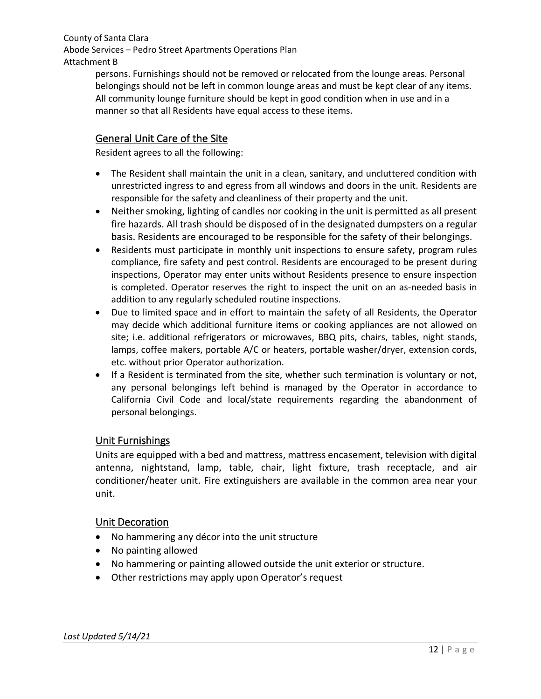persons. Furnishings should not be removed or relocated from the lounge areas. Personal belongings should not be left in common lounge areas and must be kept clear of any items. All community lounge furniture should be kept in good condition when in use and in a manner so that all Residents have equal access to these items.

# <span id="page-11-0"></span>General Unit Care of the Site

Resident agrees to all the following:

- The Resident shall maintain the unit in a clean, sanitary, and uncluttered condition with unrestricted ingress to and egress from all windows and doors in the unit. Residents are responsible for the safety and cleanliness of their property and the unit.
- Neither smoking, lighting of candles nor cooking in the unit is permitted as all present fire hazards. All trash should be disposed of in the designated dumpsters on a regular basis. Residents are encouraged to be responsible for the safety of their belongings.
- Residents must participate in monthly unit inspections to ensure safety, program rules compliance, fire safety and pest control. Residents are encouraged to be present during inspections, Operator may enter units without Residents presence to ensure inspection is completed. Operator reserves the right to inspect the unit on an as-needed basis in addition to any regularly scheduled routine inspections.
- Due to limited space and in effort to maintain the safety of all Residents, the Operator may decide which additional furniture items or cooking appliances are not allowed on site; i.e. additional refrigerators or microwaves, BBQ pits, chairs, tables, night stands, lamps, coffee makers, portable A/C or heaters, portable washer/dryer, extension cords, etc. without prior Operator authorization.
- If a Resident is terminated from the site, whether such termination is voluntary or not, any personal belongings left behind is managed by the Operator in accordance to California Civil Code and local/state requirements regarding the abandonment of personal belongings.

## <span id="page-11-1"></span>Unit Furnishings

Units are equipped with a bed and mattress, mattress encasement, television with digital antenna, nightstand, lamp, table, chair, light fixture, trash receptacle, and air conditioner/heater unit. Fire extinguishers are available in the common area near your unit.

## <span id="page-11-2"></span>Unit Decoration

- No hammering any décor into the unit structure
- No painting allowed
- No hammering or painting allowed outside the unit exterior or structure.
- Other restrictions may apply upon Operator's request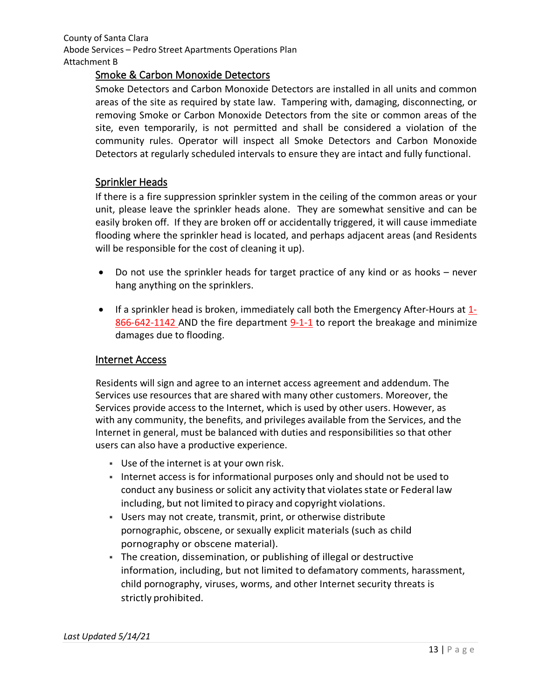## <span id="page-12-0"></span>Smoke & Carbon Monoxide Detectors

Smoke Detectors and Carbon Monoxide Detectors are installed in all units and common areas of the site as required by state law. Tampering with, damaging, disconnecting, or removing Smoke or Carbon Monoxide Detectors from the site or common areas of the site, even temporarily, is not permitted and shall be considered a violation of the community rules. Operator will inspect all Smoke Detectors and Carbon Monoxide Detectors at regularly scheduled intervals to ensure they are intact and fully functional.

## <span id="page-12-1"></span>Sprinkler Heads

If there is a fire suppression sprinkler system in the ceiling of the common areas or your unit, please leave the sprinkler heads alone. They are somewhat sensitive and can be easily broken off. If they are broken off or accidentally triggered, it will cause immediate flooding where the sprinkler head is located, and perhaps adjacent areas (and Residents will be responsible for the cost of cleaning it up).

- Do not use the sprinkler heads for target practice of any kind or as hooks never hang anything on the sprinklers.
- If a sprinkler head is broken, immediately call both the Emergency After-Hours at  $1$ -866-642-1142 AND the fire department 9-1-1 to report the breakage and minimize damages due to flooding.

## <span id="page-12-2"></span>Internet Access

Residents will sign and agree to an internet access agreement and addendum. The Services use resources that are shared with many other customers. Moreover, the Services provide access to the Internet, which is used by other users. However, as with any community, the benefits, and privileges available from the Services, and the Internet in general, must be balanced with duties and responsibilities so that other users can also have a productive experience.

- Use of the internet is at your own risk.
- Internet access is for informational purposes only and should not be used to conduct any business or solicit any activity that violates state or Federal law including, but not limited to piracy and copyright violations.
- Users may not create, transmit, print, or otherwise distribute pornographic, obscene, or sexually explicit materials (such as child pornography or obscene material).
- The creation, dissemination, or publishing of illegal or destructive information, including, but not limited to defamatory comments, harassment, child pornography, viruses, worms, and other Internet security threats is strictly prohibited.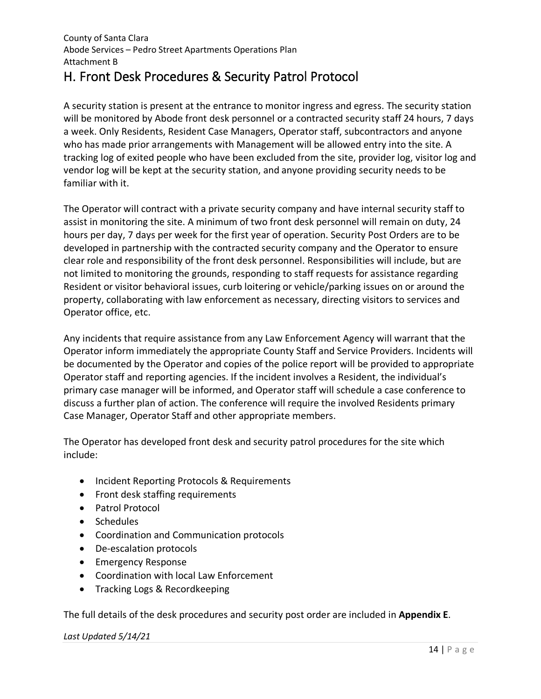# <span id="page-13-0"></span>H. Front Desk Procedures & Security Patrol Protocol

A security station is present at the entrance to monitor ingress and egress. The security station will be monitored by Abode front desk personnel or a contracted security staff 24 hours, 7 days a week. Only Residents, Resident Case Managers, Operator staff, subcontractors and anyone who has made prior arrangements with Management will be allowed entry into the site. A tracking log of exited people who have been excluded from the site, provider log, visitor log and vendor log will be kept at the security station, and anyone providing security needs to be familiar with it.

The Operator will contract with a private security company and have internal security staff to assist in monitoring the site. A minimum of two front desk personnel will remain on duty, 24 hours per day, 7 days per week for the first year of operation. Security Post Orders are to be developed in partnership with the contracted security company and the Operator to ensure clear role and responsibility of the front desk personnel. Responsibilities will include, but are not limited to monitoring the grounds, responding to staff requests for assistance regarding Resident or visitor behavioral issues, curb loitering or vehicle/parking issues on or around the property, collaborating with law enforcement as necessary, directing visitors to services and Operator office, etc.

Any incidents that require assistance from any Law Enforcement Agency will warrant that the Operator inform immediately the appropriate County Staff and Service Providers. Incidents will be documented by the Operator and copies of the police report will be provided to appropriate Operator staff and reporting agencies. If the incident involves a Resident, the individual's primary case manager will be informed, and Operator staff will schedule a case conference to discuss a further plan of action. The conference will require the involved Residents primary Case Manager, Operator Staff and other appropriate members.

The Operator has developed front desk and security patrol procedures for the site which include:

- Incident Reporting Protocols & Requirements
- Front desk staffing requirements
- Patrol Protocol
- Schedules
- Coordination and Communication protocols
- De-escalation protocols
- Emergency Response
- Coordination with local Law Enforcement
- Tracking Logs & Recordkeeping

The full details of the desk procedures and security post order are included in **Appendix E**.

#### *Last Updated 5/14/21*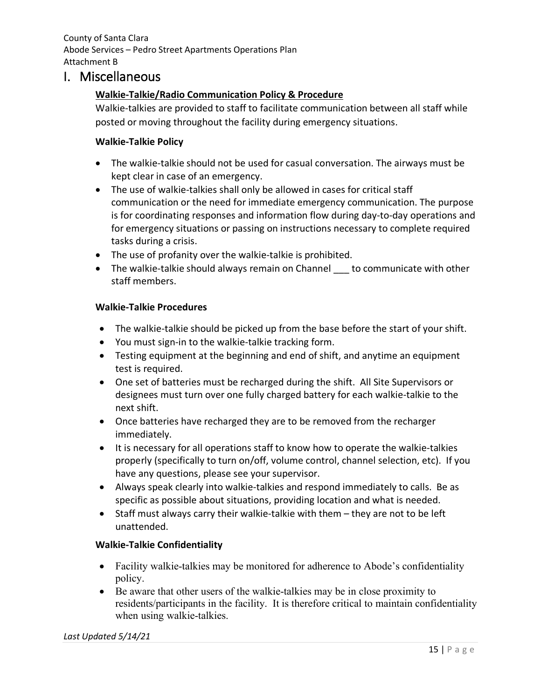# <span id="page-14-1"></span><span id="page-14-0"></span>I. Miscellaneous

## **Walkie-Talkie/Radio Communication Policy & Procedure**

Walkie-talkies are provided to staff to facilitate communication between all staff while posted or moving throughout the facility during emergency situations.

### **Walkie-Talkie Policy**

- The walkie-talkie should not be used for casual conversation. The airways must be kept clear in case of an emergency.
- The use of walkie-talkies shall only be allowed in cases for critical staff communication or the need for immediate emergency communication. The purpose is for coordinating responses and information flow during day-to-day operations and for emergency situations or passing on instructions necessary to complete required tasks during a crisis.
- The use of profanity over the walkie-talkie is prohibited.
- The walkie-talkie should always remain on Channel to communicate with other staff members.

#### **Walkie-Talkie Procedures**

- The walkie-talkie should be picked up from the base before the start of your shift.
- You must sign-in to the walkie-talkie tracking form.
- Testing equipment at the beginning and end of shift, and anytime an equipment test is required.
- One set of batteries must be recharged during the shift. All Site Supervisors or designees must turn over one fully charged battery for each walkie-talkie to the next shift.
- Once batteries have recharged they are to be removed from the recharger immediately.
- It is necessary for all operations staff to know how to operate the walkie-talkies properly (specifically to turn on/off, volume control, channel selection, etc). If you have any questions, please see your supervisor.
- Always speak clearly into walkie-talkies and respond immediately to calls. Be as specific as possible about situations, providing location and what is needed.
- Staff must always carry their walkie-talkie with them they are not to be left unattended.

## **Walkie-Talkie Confidentiality**

- Facility walkie-talkies may be monitored for adherence to Abode's confidentiality policy.
- Be aware that other users of the walkie-talkies may be in close proximity to residents/participants in the facility. It is therefore critical to maintain confidentiality when using walkie-talkies.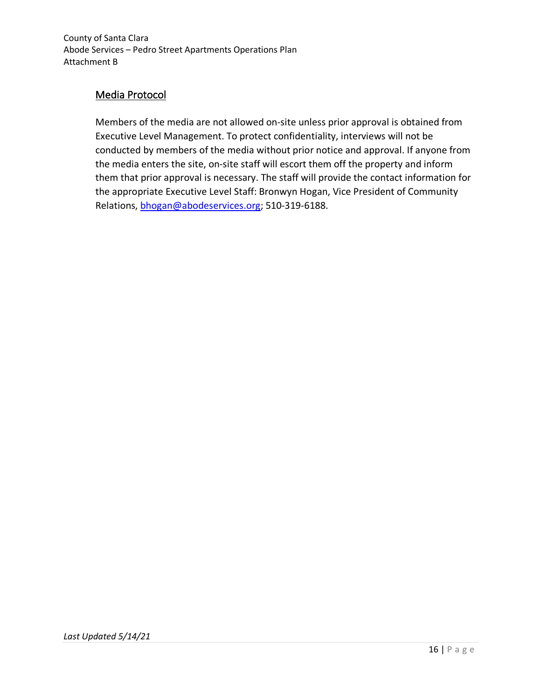# <span id="page-15-0"></span>Media Protocol

Members of the media are not allowed on-site unless prior approval is obtained from Executive Level Management. To protect confidentiality, interviews will not be conducted by members of the media without prior notice and approval. If anyone from the media enters the site, on-site staff will escort them off the property and inform them that prior approval is necessary. The staff will provide the contact information for the appropriate Executive Level Staff: Bronwyn Hogan, Vice President of Community Relations, [bhogan@abodeservices.org;](mailto:bhogan@abodeservices.org) 510-319-6188.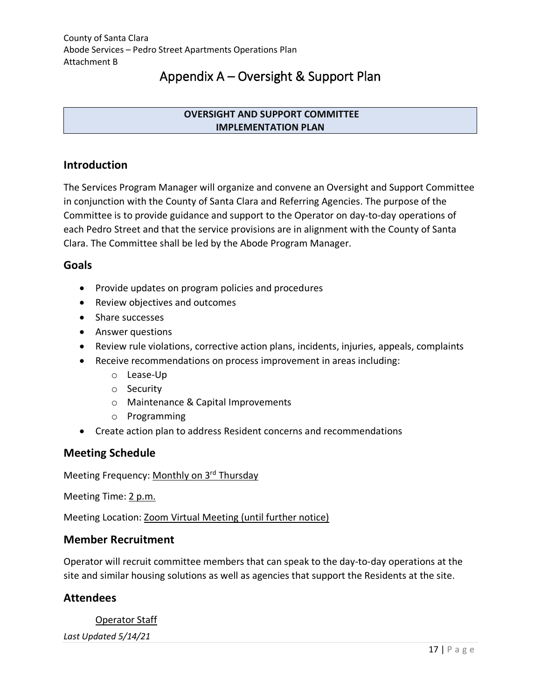# Appendix A – Oversight & Support Plan

### **OVERSIGHT AND SUPPORT COMMITTEE IMPLEMENTATION PLAN**

# <span id="page-16-0"></span>**Introduction**

The Services Program Manager will organize and convene an Oversight and Support Committee in conjunction with the County of Santa Clara and Referring Agencies. The purpose of the Committee is to provide guidance and support to the Operator on day-to-day operations of each Pedro Street and that the service provisions are in alignment with the County of Santa Clara. The Committee shall be led by the Abode Program Manager.

## **Goals**

- Provide updates on program policies and procedures
- Review objectives and outcomes
- Share successes
- Answer questions
- Review rule violations, corrective action plans, incidents, injuries, appeals, complaints
- Receive recommendations on process improvement in areas including:
	- o Lease-Up
	- o Security
	- o Maintenance & Capital Improvements
	- o Programming
- Create action plan to address Resident concerns and recommendations

# **Meeting Schedule**

Meeting Frequency: Monthly on 3rd Thursday

Meeting Time: 2 p.m.

Meeting Location: Zoom Virtual Meeting (until further notice)

## **Member Recruitment**

Operator will recruit committee members that can speak to the day-to-day operations at the site and similar housing solutions as well as agencies that support the Residents at the site.

# **Attendees**

#### Operator Staff

*Last Updated 5/14/21*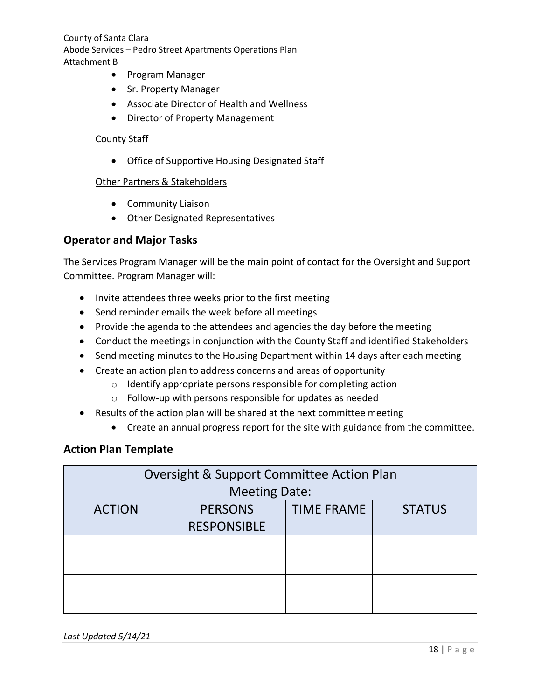- Program Manager
- Sr. Property Manager
- Associate Director of Health and Wellness
- Director of Property Management

#### County Staff

• Office of Supportive Housing Designated Staff

#### Other Partners & Stakeholders

- Community Liaison
- Other Designated Representatives

## **Operator and Major Tasks**

The Services Program Manager will be the main point of contact for the Oversight and Support Committee. Program Manager will:

- Invite attendees three weeks prior to the first meeting
- Send reminder emails the week before all meetings
- Provide the agenda to the attendees and agencies the day before the meeting
- Conduct the meetings in conjunction with the County Staff and identified Stakeholders
- Send meeting minutes to the Housing Department within 14 days after each meeting
- Create an action plan to address concerns and areas of opportunity
	- o Identify appropriate persons responsible for completing action
	- o Follow-up with persons responsible for updates as needed
- Results of the action plan will be shared at the next committee meeting
	- Create an annual progress report for the site with guidance from the committee.

## **Action Plan Template**

| <b>Oversight &amp; Support Committee Action Plan</b> |                    |                   |               |  |  |  |  |
|------------------------------------------------------|--------------------|-------------------|---------------|--|--|--|--|
| <b>Meeting Date:</b>                                 |                    |                   |               |  |  |  |  |
| <b>ACTION</b>                                        | <b>PERSONS</b>     | <b>TIME FRAME</b> | <b>STATUS</b> |  |  |  |  |
|                                                      | <b>RESPONSIBLE</b> |                   |               |  |  |  |  |
|                                                      |                    |                   |               |  |  |  |  |
|                                                      |                    |                   |               |  |  |  |  |
|                                                      |                    |                   |               |  |  |  |  |
|                                                      |                    |                   |               |  |  |  |  |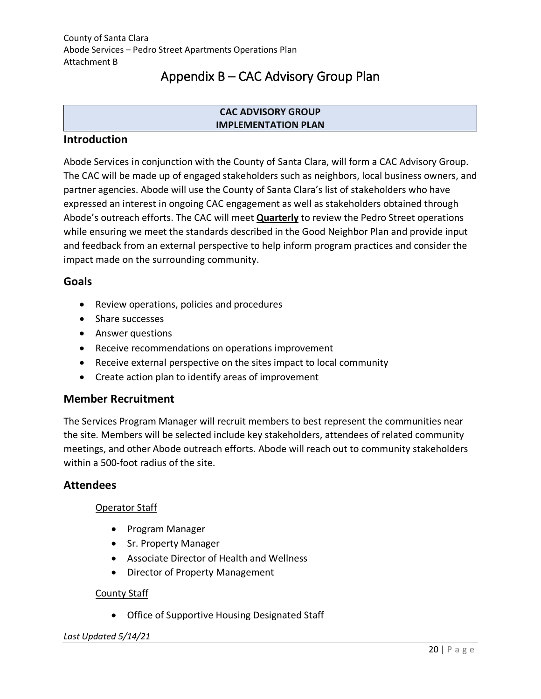# Appendix B – CAC Advisory Group Plan

### **CAC ADVISORY GROUP IMPLEMENTATION PLAN**

## <span id="page-19-0"></span>**Introduction**

Abode Services in conjunction with the County of Santa Clara, will form a CAC Advisory Group. The CAC will be made up of engaged stakeholders such as neighbors, local business owners, and partner agencies. Abode will use the County of Santa Clara's list of stakeholders who have expressed an interest in ongoing CAC engagement as well as stakeholders obtained through Abode's outreach efforts. The CAC will meet **Quarterly** to review the Pedro Street operations while ensuring we meet the standards described in the Good Neighbor Plan and provide input and feedback from an external perspective to help inform program practices and consider the impact made on the surrounding community.

## **Goals**

- Review operations, policies and procedures
- Share successes
- Answer questions
- Receive recommendations on operations improvement
- Receive external perspective on the sites impact to local community
- Create action plan to identify areas of improvement

# **Member Recruitment**

The Services Program Manager will recruit members to best represent the communities near the site. Members will be selected include key stakeholders, attendees of related community meetings, and other Abode outreach efforts. Abode will reach out to community stakeholders within a 500-foot radius of the site.

# **Attendees**

## Operator Staff

- Program Manager
- Sr. Property Manager
- Associate Director of Health and Wellness
- Director of Property Management

## County Staff

• Office of Supportive Housing Designated Staff

#### *Last Updated 5/14/21*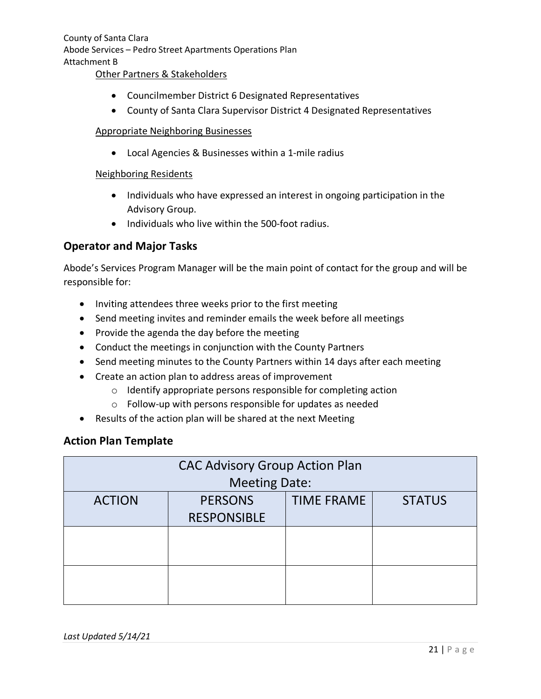#### Other Partners & Stakeholders

- Councilmember District 6 Designated Representatives
- County of Santa Clara Supervisor District 4 Designated Representatives

#### Appropriate Neighboring Businesses

• Local Agencies & Businesses within a 1-mile radius

#### Neighboring Residents

- Individuals who have expressed an interest in ongoing participation in the Advisory Group.
- Individuals who live within the 500-foot radius.

## **Operator and Major Tasks**

Abode's Services Program Manager will be the main point of contact for the group and will be responsible for:

- Inviting attendees three weeks prior to the first meeting
- Send meeting invites and reminder emails the week before all meetings
- Provide the agenda the day before the meeting
- Conduct the meetings in conjunction with the County Partners
- Send meeting minutes to the County Partners within 14 days after each meeting
- Create an action plan to address areas of improvement
	- o Identify appropriate persons responsible for completing action
	- o Follow-up with persons responsible for updates as needed
- Results of the action plan will be shared at the next Meeting

## **Action Plan Template**

| <b>CAC Advisory Group Action Plan</b> |                    |                   |               |  |  |  |  |
|---------------------------------------|--------------------|-------------------|---------------|--|--|--|--|
| <b>Meeting Date:</b>                  |                    |                   |               |  |  |  |  |
| <b>ACTION</b>                         | <b>PERSONS</b>     | <b>TIME FRAME</b> | <b>STATUS</b> |  |  |  |  |
|                                       | <b>RESPONSIBLE</b> |                   |               |  |  |  |  |
|                                       |                    |                   |               |  |  |  |  |
|                                       |                    |                   |               |  |  |  |  |
|                                       |                    |                   |               |  |  |  |  |
|                                       |                    |                   |               |  |  |  |  |
|                                       |                    |                   |               |  |  |  |  |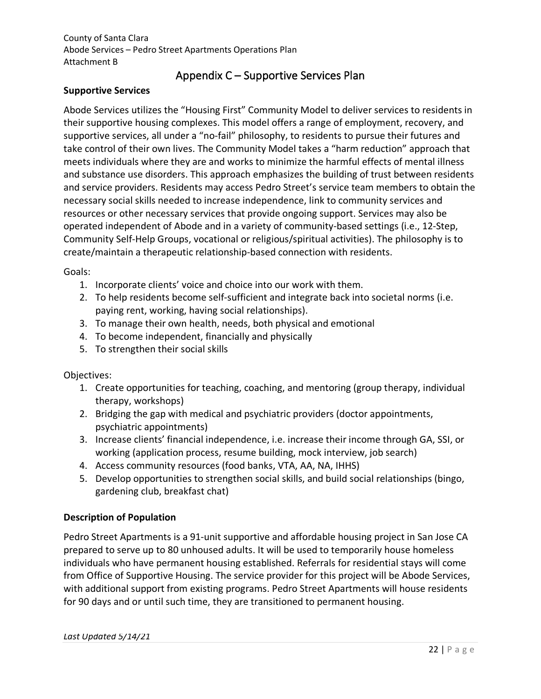# Appendix C – Supportive Services Plan

## <span id="page-21-0"></span>**Supportive Services**

Abode Services utilizes the "Housing First" Community Model to deliver services to residents in their supportive housing complexes. This model offers a range of employment, recovery, and supportive services, all under a "no-fail" philosophy, to residents to pursue their futures and take control of their own lives. The Community Model takes a "harm reduction" approach that meets individuals where they are and works to minimize the harmful effects of mental illness and substance use disorders. This approach emphasizes the building of trust between residents and service providers. Residents may access Pedro Street's service team members to obtain the necessary social skills needed to increase independence, link to community services and resources or other necessary services that provide ongoing support. Services may also be operated independent of Abode and in a variety of community-based settings (i.e., 12-Step, Community Self-Help Groups, vocational or religious/spiritual activities). The philosophy is to create/maintain a therapeutic relationship-based connection with residents.

### Goals:

- 1. Incorporate clients' voice and choice into our work with them.
- 2. To help residents become self-sufficient and integrate back into societal norms (i.e. paying rent, working, having social relationships).
- 3. To manage their own health, needs, both physical and emotional
- 4. To become independent, financially and physically
- 5. To strengthen their social skills

## Objectives:

- 1. Create opportunities for teaching, coaching, and mentoring (group therapy, individual therapy, workshops)
- 2. Bridging the gap with medical and psychiatric providers (doctor appointments, psychiatric appointments)
- 3. Increase clients' financial independence, i.e. increase their income through GA, SSI, or working (application process, resume building, mock interview, job search)
- 4. Access community resources (food banks, VTA, AA, NA, IHHS)
- 5. Develop opportunities to strengthen social skills, and build social relationships (bingo, gardening club, breakfast chat)

## **Description of Population**

Pedro Street Apartments is a 91-unit supportive and affordable housing project in San Jose CA prepared to serve up to 80 unhoused adults. It will be used to temporarily house homeless individuals who have permanent housing established. Referrals for residential stays will come from Office of Supportive Housing. The service provider for this project will be Abode Services, with additional support from existing programs. Pedro Street Apartments will house residents for 90 days and or until such time, they are transitioned to permanent housing.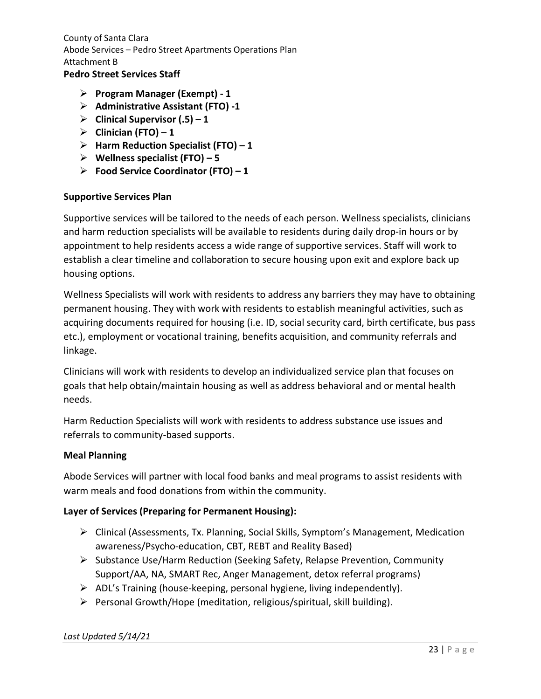# **Pedro Street Services Staff**

- **Program Manager (Exempt) - 1**
- **Administrative Assistant (FTO) -1**
- **Clinical Supervisor (.5) – 1**
- $\triangleright$  Clinician (FTO) 1
- **Harm Reduction Specialist (FTO) – 1**
- **Wellness specialist (FTO) – 5**
- **Food Service Coordinator (FTO) – 1**

#### **Supportive Services Plan**

Supportive services will be tailored to the needs of each person. Wellness specialists, clinicians and harm reduction specialists will be available to residents during daily drop-in hours or by appointment to help residents access a wide range of supportive services. Staff will work to establish a clear timeline and collaboration to secure housing upon exit and explore back up housing options.

Wellness Specialists will work with residents to address any barriers they may have to obtaining permanent housing. They with work with residents to establish meaningful activities, such as acquiring documents required for housing (i.e. ID, social security card, birth certificate, bus pass etc.), employment or vocational training, benefits acquisition, and community referrals and linkage.

Clinicians will work with residents to develop an individualized service plan that focuses on goals that help obtain/maintain housing as well as address behavioral and or mental health needs.

Harm Reduction Specialists will work with residents to address substance use issues and referrals to community-based supports.

#### **Meal Planning**

Abode Services will partner with local food banks and meal programs to assist residents with warm meals and food donations from within the community.

#### **Layer of Services (Preparing for Permanent Housing):**

- Clinical (Assessments, Tx. Planning, Social Skills, Symptom's Management, Medication awareness/Psycho-education, CBT, REBT and Reality Based)
- $\triangleright$  Substance Use/Harm Reduction (Seeking Safety, Relapse Prevention, Community Support/AA, NA, SMART Rec, Anger Management, detox referral programs)
- $\triangleright$  ADL's Training (house-keeping, personal hygiene, living independently).
- $\triangleright$  Personal Growth/Hope (meditation, religious/spiritual, skill building).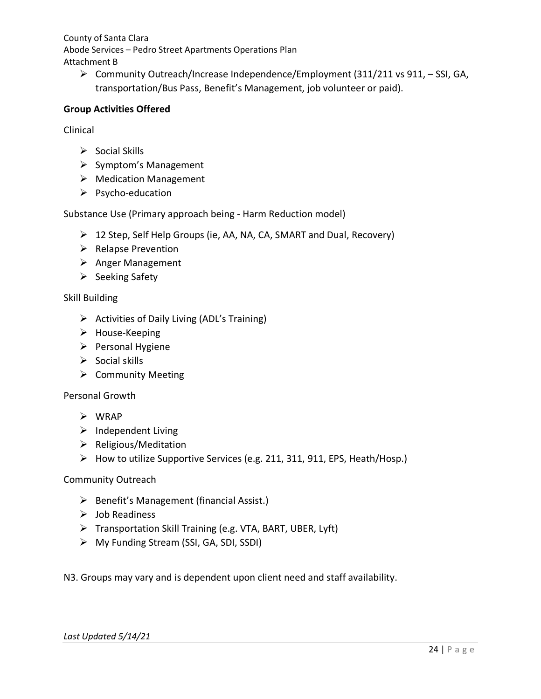Community Outreach/Increase Independence/Employment (311/211 vs 911, – SSI, GA, transportation/Bus Pass, Benefit's Management, job volunteer or paid).

### **Group Activities Offered**

Clinical

- $\triangleright$  Social Skills
- $\triangleright$  Symptom's Management
- Medication Management
- $\triangleright$  Psycho-education

Substance Use (Primary approach being - Harm Reduction model)

- $\geq 12$  Step, Self Help Groups (ie, AA, NA, CA, SMART and Dual, Recovery)
- $\triangleright$  Relapse Prevention
- $\triangleright$  Anger Management
- $\triangleright$  Seeking Safety

#### Skill Building

- $\triangleright$  Activities of Daily Living (ADL's Training)
- > House-Keeping
- $\triangleright$  Personal Hygiene
- $\triangleright$  Social skills
- $\triangleright$  Community Meeting

#### Personal Growth

- $\triangleright$  WRAP
- $\triangleright$  Independent Living
- $\triangleright$  Religious/Meditation
- How to utilize Supportive Services (e.g. 211, 311, 911, EPS, Heath/Hosp.)

#### Community Outreach

- $\triangleright$  Benefit's Management (financial Assist.)
- $\triangleright$  Job Readiness
- Transportation Skill Training (e.g. VTA, BART, UBER, Lyft)
- My Funding Stream (SSI, GA, SDI, SSDI)

N3. Groups may vary and is dependent upon client need and staff availability.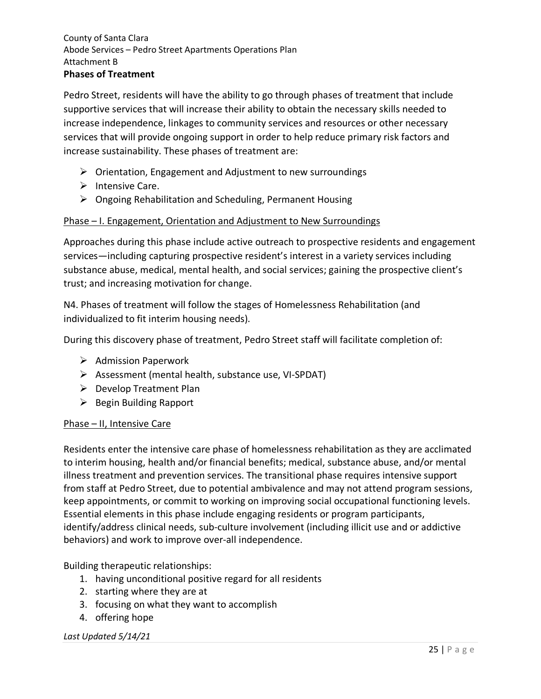Pedro Street, residents will have the ability to go through phases of treatment that include supportive services that will increase their ability to obtain the necessary skills needed to increase independence, linkages to community services and resources or other necessary services that will provide ongoing support in order to help reduce primary risk factors and increase sustainability. These phases of treatment are:

- $\triangleright$  Orientation, Engagement and Adjustment to new surroundings
- $\triangleright$  Intensive Care.
- $\triangleright$  Ongoing Rehabilitation and Scheduling, Permanent Housing

### Phase – I. Engagement, Orientation and Adjustment to New Surroundings

Approaches during this phase include active outreach to prospective residents and engagement services—including capturing prospective resident's interest in a variety services including substance abuse, medical, mental health, and social services; gaining the prospective client's trust; and increasing motivation for change.

N4. Phases of treatment will follow the stages of Homelessness Rehabilitation (and individualized to fit interim housing needs).

During this discovery phase of treatment, Pedro Street staff will facilitate completion of:

- $\triangleright$  Admission Paperwork
- $\triangleright$  Assessment (mental health, substance use, VI-SPDAT)
- $\triangleright$  Develop Treatment Plan
- $\triangleright$  Begin Building Rapport

#### Phase – II, Intensive Care

Residents enter the intensive care phase of homelessness rehabilitation as they are acclimated to interim housing, health and/or financial benefits; medical, substance abuse, and/or mental illness treatment and prevention services. The transitional phase requires intensive support from staff at Pedro Street, due to potential ambivalence and may not attend program sessions, keep appointments, or commit to working on improving social occupational functioning levels. Essential elements in this phase include engaging residents or program participants, identify/address clinical needs, sub-culture involvement (including illicit use and or addictive behaviors) and work to improve over-all independence.

## Building therapeutic relationships:

- 1. having unconditional positive regard for all residents
- 2. starting where they are at
- 3. focusing on what they want to accomplish
- 4. offering hope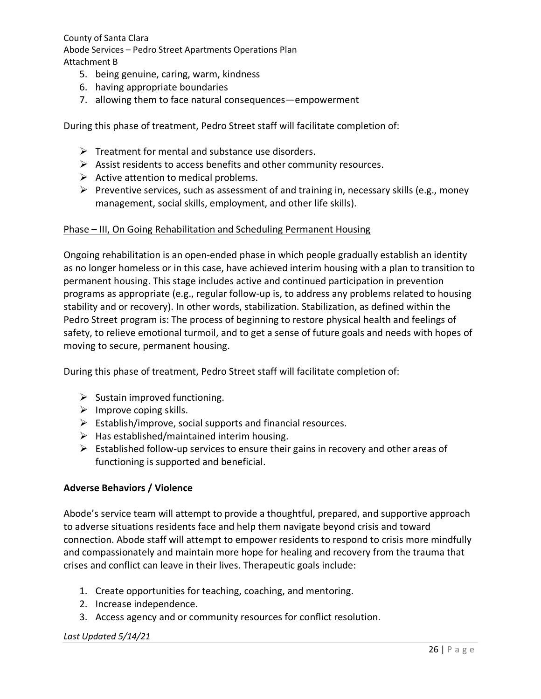- 5. being genuine, caring, warm, kindness
- 6. having appropriate boundaries
- 7. allowing them to face natural consequences—empowerment

During this phase of treatment, Pedro Street staff will facilitate completion of:

- $\triangleright$  Treatment for mental and substance use disorders.
- $\triangleright$  Assist residents to access benefits and other community resources.
- $\triangleright$  Active attention to medical problems.
- Preventive services, such as assessment of and training in, necessary skills (e.g., money management, social skills, employment, and other life skills).

#### Phase – III, On Going Rehabilitation and Scheduling Permanent Housing

Ongoing rehabilitation is an open-ended phase in which people gradually establish an identity as no longer homeless or in this case, have achieved interim housing with a plan to transition to permanent housing. This stage includes active and continued participation in prevention programs as appropriate (e.g., regular follow-up is, to address any problems related to housing stability and or recovery). In other words, stabilization. Stabilization, as defined within the Pedro Street program is: The process of beginning to restore physical health and feelings of safety, to relieve emotional turmoil, and to get a sense of future goals and needs with hopes of moving to secure, permanent housing.

During this phase of treatment, Pedro Street staff will facilitate completion of:

- $\triangleright$  Sustain improved functioning.
- $\triangleright$  Improve coping skills.
- $\triangleright$  Establish/improve, social supports and financial resources.
- $\triangleright$  Has established/maintained interim housing.
- $\triangleright$  Established follow-up services to ensure their gains in recovery and other areas of functioning is supported and beneficial.

#### **Adverse Behaviors / Violence**

Abode's service team will attempt to provide a thoughtful, prepared, and supportive approach to adverse situations residents face and help them navigate beyond crisis and toward connection. Abode staff will attempt to empower residents to respond to crisis more mindfully and compassionately and maintain more hope for healing and recovery from the trauma that crises and conflict can leave in their lives. Therapeutic goals include:

- 1. Create opportunities for teaching, coaching, and mentoring.
- 2. Increase independence.
- 3. Access agency and or community resources for conflict resolution.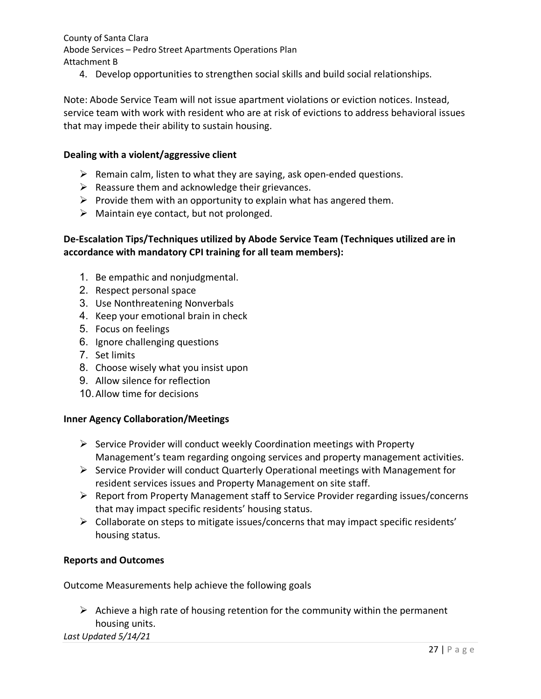4. Develop opportunities to strengthen social skills and build social relationships.

Note: Abode Service Team will not issue apartment violations or eviction notices. Instead, service team with work with resident who are at risk of evictions to address behavioral issues that may impede their ability to sustain housing.

#### **Dealing with a violent/aggressive client**

- $\triangleright$  Remain calm, listen to what they are saying, ask open-ended questions.
- $\triangleright$  Reassure them and acknowledge their grievances.
- $\triangleright$  Provide them with an opportunity to explain what has angered them.
- $\triangleright$  Maintain eye contact, but not prolonged.

### **De-Escalation Tips/Techniques utilized by Abode Service Team (Techniques utilized are in accordance with mandatory CPI training for all team members):**

- 1. Be empathic and nonjudgmental.
- 2. Respect personal space
- 3. Use Nonthreatening Nonverbals
- 4. Keep your emotional brain in check
- 5. Focus on feelings
- 6. Ignore challenging questions
- 7. Set limits
- 8. Choose wisely what you insist upon
- 9. Allow silence for reflection
- 10.Allow time for decisions

#### **Inner Agency Collaboration/Meetings**

- $\triangleright$  Service Provider will conduct weekly Coordination meetings with Property Management's team regarding ongoing services and property management activities.
- $\triangleright$  Service Provider will conduct Quarterly Operational meetings with Management for resident services issues and Property Management on site staff.
- $\triangleright$  Report from Property Management staff to Service Provider regarding issues/concerns that may impact specific residents' housing status.
- $\triangleright$  Collaborate on steps to mitigate issues/concerns that may impact specific residents' housing status.

#### **Reports and Outcomes**

Outcome Measurements help achieve the following goals

 $\triangleright$  Achieve a high rate of housing retention for the community within the permanent housing units.

*Last Updated 5/14/21*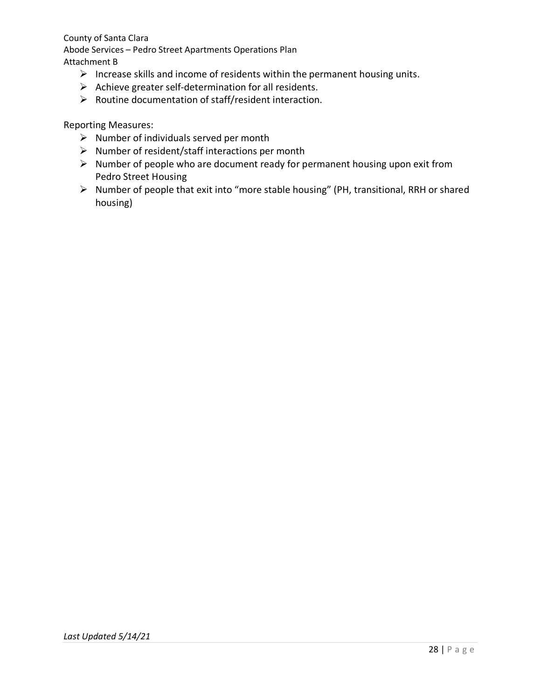- $\triangleright$  Increase skills and income of residents within the permanent housing units.
- $\triangleright$  Achieve greater self-determination for all residents.
- $\triangleright$  Routine documentation of staff/resident interaction.

Reporting Measures:

- $\triangleright$  Number of individuals served per month
- $\triangleright$  Number of resident/staff interactions per month
- $\triangleright$  Number of people who are document ready for permanent housing upon exit from Pedro Street Housing
- $\triangleright$  Number of people that exit into "more stable housing" (PH, transitional, RRH or shared housing)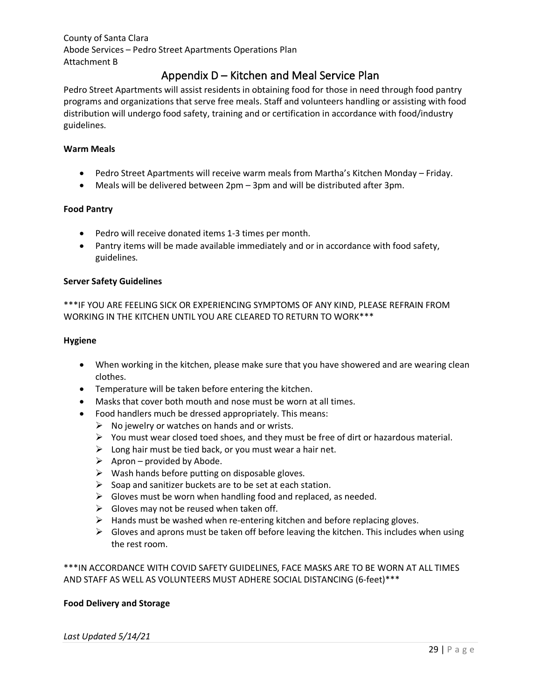# Appendix D – Kitchen and Meal Service Plan

<span id="page-28-0"></span>Pedro Street Apartments will assist residents in obtaining food for those in need through food pantry programs and organizations that serve free meals. Staff and volunteers handling or assisting with food distribution will undergo food safety, training and or certification in accordance with food/industry guidelines.

#### **Warm Meals**

- Pedro Street Apartments will receive warm meals from Martha's Kitchen Monday Friday.
- Meals will be delivered between 2pm 3pm and will be distributed after 3pm.

#### **Food Pantry**

- Pedro will receive donated items 1-3 times per month.
- Pantry items will be made available immediately and or in accordance with food safety, guidelines.

#### **Server Safety Guidelines**

\*\*\*IF YOU ARE FEELING SICK OR EXPERIENCING SYMPTOMS OF ANY KIND, PLEASE REFRAIN FROM WORKING IN THE KITCHEN UNTIL YOU ARE CLEARED TO RETURN TO WORK\*\*\*

#### **Hygiene**

- When working in the kitchen, please make sure that you have showered and are wearing clean clothes.
- Temperature will be taken before entering the kitchen.
- Masks that cover both mouth and nose must be worn at all times.
- Food handlers much be dressed appropriately. This means:
	- $\triangleright$  No jewelry or watches on hands and or wrists.
	- $\triangleright$  You must wear closed toed shoes, and they must be free of dirt or hazardous material.
	- $\triangleright$  Long hair must be tied back, or you must wear a hair net.
	- $\triangleright$  Apron provided by Abode.
	- $\triangleright$  Wash hands before putting on disposable gloves.
	- $\triangleright$  Soap and sanitizer buckets are to be set at each station.
	- $\triangleright$  Gloves must be worn when handling food and replaced, as needed.
	- $\triangleright$  Gloves may not be reused when taken off.
	- $\triangleright$  Hands must be washed when re-entering kitchen and before replacing gloves.
	- $\triangleright$  Gloves and aprons must be taken off before leaving the kitchen. This includes when using the rest room.

\*\*\*IN ACCORDANCE WITH COVID SAFETY GUIDELINES, FACE MASKS ARE TO BE WORN AT ALL TIMES AND STAFF AS WELL AS VOLUNTEERS MUST ADHERE SOCIAL DISTANCING (6-feet)\*\*\*

#### **Food Delivery and Storage**

#### *Last Updated 5/14/21*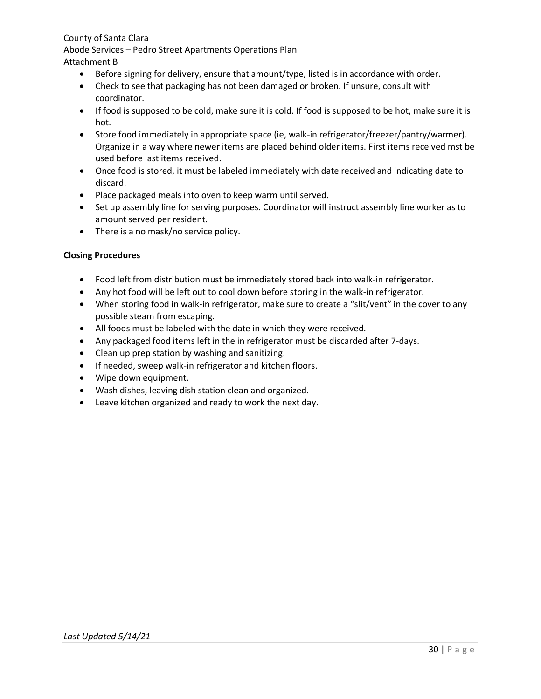Abode Services – Pedro Street Apartments Operations Plan

## Attachment B

- Before signing for delivery, ensure that amount/type, listed is in accordance with order.
- Check to see that packaging has not been damaged or broken. If unsure, consult with coordinator.
- If food is supposed to be cold, make sure it is cold. If food is supposed to be hot, make sure it is hot.
- Store food immediately in appropriate space (ie, walk-in refrigerator/freezer/pantry/warmer). Organize in a way where newer items are placed behind older items. First items received mst be used before last items received.
- Once food is stored, it must be labeled immediately with date received and indicating date to discard.
- Place packaged meals into oven to keep warm until served.
- Set up assembly line for serving purposes. Coordinator will instruct assembly line worker as to amount served per resident.
- There is a no mask/no service policy.

#### **Closing Procedures**

- Food left from distribution must be immediately stored back into walk-in refrigerator.
- Any hot food will be left out to cool down before storing in the walk-in refrigerator.
- When storing food in walk-in refrigerator, make sure to create a "slit/vent" in the cover to any possible steam from escaping.
- All foods must be labeled with the date in which they were received.
- Any packaged food items left in the in refrigerator must be discarded after 7-days.
- Clean up prep station by washing and sanitizing.
- If needed, sweep walk-in refrigerator and kitchen floors.
- Wipe down equipment.
- Wash dishes, leaving dish station clean and organized.
- Leave kitchen organized and ready to work the next day.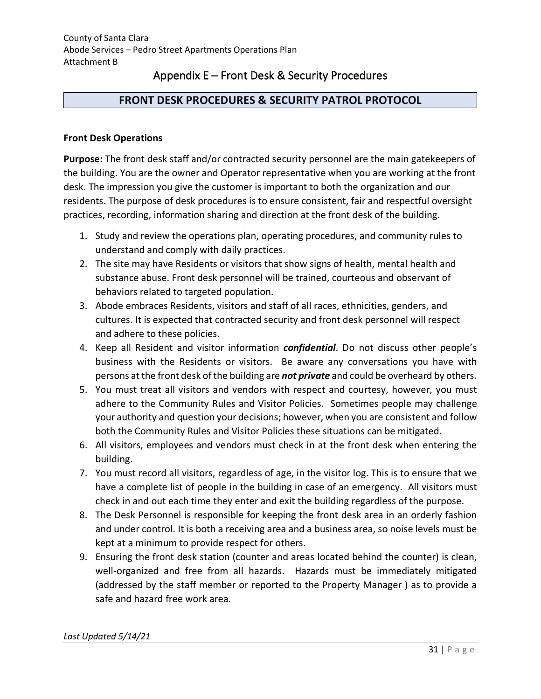# Appendix E – Front Desk & Security Procedures

## <span id="page-30-0"></span>**FRONT DESK PROCEDURES & SECURITY PATROL PROTOCOL**

#### **Front Desk Operations**

**Purpose:** The front desk staff and/or contracted security personnel are the main gatekeepers of the building. You are the owner and Operator representative when you are working at the front desk. The impression you give the customer is important to both the organization and our residents. The purpose of desk procedures is to ensure consistent, fair and respectful oversight practices, recording, information sharing and direction at the front desk of the building.

- 1. Study and review the operations plan, operating procedures, and community rules to understand and comply with daily practices.
- 2. The site may have Residents or visitors that show signs of health, mental health and substance abuse. Front desk personnel will be trained, courteous and observant of behaviors related to targeted population.
- 3. Abode embraces Residents, visitors and staff of all races, ethnicities, genders, and cultures. It is expected that contracted security and front desk personnel will respect and adhere to these policies.
- 4. Keep all Resident and visitor information *confidential*. Do not discuss other people's business with the Residents or visitors. Be aware any conversations you have with persons at the front desk of the building are *not private* and could be overheard by others.
- 5. You must treat all visitors and vendors with respect and courtesy, however, you must adhere to the Community Rules and Visitor Policies. Sometimes people may challenge your authority and question your decisions; however, when you are consistent and follow both the Community Rules and Visitor Policies these situations can be mitigated.
- 6. All visitors, employees and vendors must check in at the front desk when entering the building.
- 7. You must record all visitors, regardless of age, in the visitor log. This is to ensure that we have a complete list of people in the building in case of an emergency. All visitors must check in and out each time they enter and exit the building regardless of the purpose.
- 8. The Desk Personnel is responsible for keeping the front desk area in an orderly fashion and under control. It is both a receiving area and a business area, so noise levels must be kept at a minimum to provide respect for others.
- 9. Ensuring the front desk station (counter and areas located behind the counter) is clean, well-organized and free from all hazards. Hazards must be immediately mitigated (addressed by the staff member or reported to the Property Manager ) as to provide a safe and hazard free work area.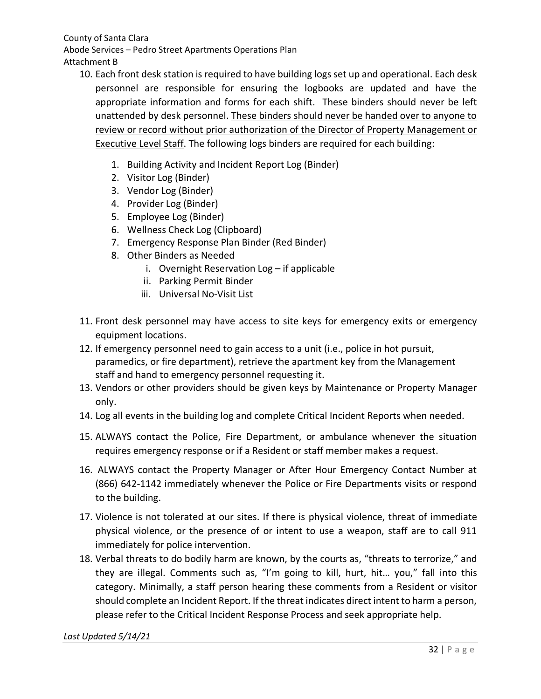- 10. Each front desk station is required to have building logs set up and operational. Each desk personnel are responsible for ensuring the logbooks are updated and have the appropriate information and forms for each shift. These binders should never be left unattended by desk personnel. These binders should never be handed over to anyone to review or record without prior authorization of the Director of Property Management or Executive Level Staff. The following logs binders are required for each building:
	- 1. Building Activity and Incident Report Log (Binder)
	- 2. Visitor Log (Binder)
	- 3. Vendor Log (Binder)
	- 4. Provider Log (Binder)
	- 5. Employee Log (Binder)
	- 6. Wellness Check Log (Clipboard)
	- 7. Emergency Response Plan Binder (Red Binder)
	- 8. Other Binders as Needed
		- i. Overnight Reservation Log if applicable
		- ii. Parking Permit Binder
		- iii. Universal No-Visit List
- 11. Front desk personnel may have access to site keys for emergency exits or emergency equipment locations.
- 12. If emergency personnel need to gain access to a unit (i.e., police in hot pursuit, paramedics, or fire department), retrieve the apartment key from the Management staff and hand to emergency personnel requesting it.
- 13. Vendors or other providers should be given keys by Maintenance or Property Manager only.
- 14. Log all events in the building log and complete Critical Incident Reports when needed.
- 15. ALWAYS contact the Police, Fire Department, or ambulance whenever the situation requires emergency response or if a Resident or staff member makes a request.
- 16. ALWAYS contact the Property Manager or After Hour Emergency Contact Number at (866) 642-1142 immediately whenever the Police or Fire Departments visits or respond to the building.
- 17. Violence is not tolerated at our sites. If there is physical violence, threat of immediate physical violence, or the presence of or intent to use a weapon, staff are to call 911 immediately for police intervention.
- 18. Verbal threats to do bodily harm are known, by the courts as, "threats to terrorize," and they are illegal. Comments such as, "I'm going to kill, hurt, hit… you," fall into this category. Minimally, a staff person hearing these comments from a Resident or visitor should complete an Incident Report. If the threat indicates direct intent to harm a person, please refer to the Critical Incident Response Process and seek appropriate help.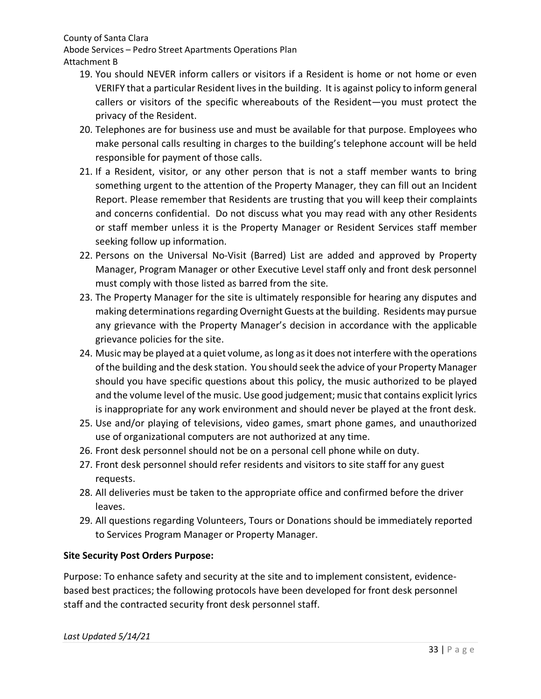Abode Services – Pedro Street Apartments Operations Plan Attachment B

- 19. You should NEVER inform callers or visitors if a Resident is home or not home or even VERIFY that a particular Resident lives in the building. It is against policy to inform general callers or visitors of the specific whereabouts of the Resident—you must protect the privacy of the Resident.
- 20. Telephones are for business use and must be available for that purpose. Employees who make personal calls resulting in charges to the building's telephone account will be held responsible for payment of those calls.
- 21. If a Resident, visitor, or any other person that is not a staff member wants to bring something urgent to the attention of the Property Manager, they can fill out an Incident Report. Please remember that Residents are trusting that you will keep their complaints and concerns confidential. Do not discuss what you may read with any other Residents or staff member unless it is the Property Manager or Resident Services staff member seeking follow up information.
- 22. Persons on the Universal No-Visit (Barred) List are added and approved by Property Manager, Program Manager or other Executive Level staff only and front desk personnel must comply with those listed as barred from the site.
- 23. The Property Manager for the site is ultimately responsible for hearing any disputes and making determinations regarding Overnight Guests at the building. Residents may pursue any grievance with the Property Manager's decision in accordance with the applicable grievance policies for the site.
- 24. Music may be played at a quiet volume, as long as it does not interfere with the operations of the building and the desk station. You should seek the advice of your Property Manager should you have specific questions about this policy, the music authorized to be played and the volume level of the music. Use good judgement; music that contains explicit lyrics is inappropriate for any work environment and should never be played at the front desk.
- 25. Use and/or playing of televisions, video games, smart phone games, and unauthorized use of organizational computers are not authorized at any time.
- 26. Front desk personnel should not be on a personal cell phone while on duty.
- 27. Front desk personnel should refer residents and visitors to site staff for any guest requests.
- 28. All deliveries must be taken to the appropriate office and confirmed before the driver leaves.
- 29. All questions regarding Volunteers, Tours or Donations should be immediately reported to Services Program Manager or Property Manager.

# **Site Security Post Orders Purpose:**

Purpose: To enhance safety and security at the site and to implement consistent, evidencebased best practices; the following protocols have been developed for front desk personnel staff and the contracted security front desk personnel staff.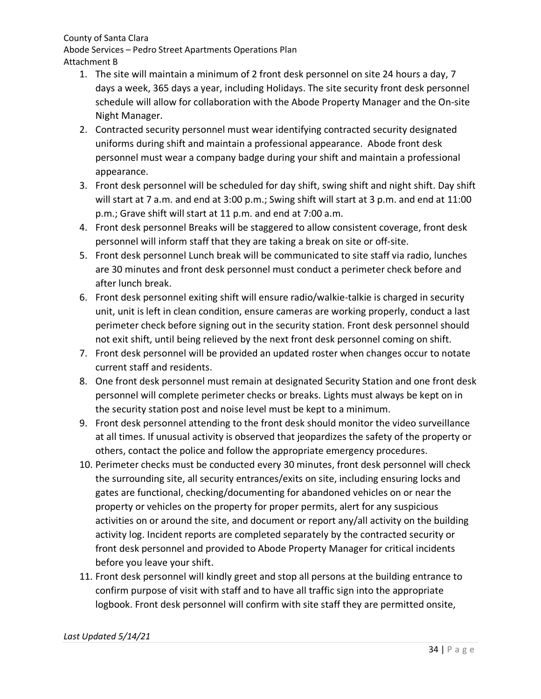Abode Services – Pedro Street Apartments Operations Plan Attachment B

- 1. The site will maintain a minimum of 2 front desk personnel on site 24 hours a day, 7 days a week, 365 days a year, including Holidays. The site security front desk personnel schedule will allow for collaboration with the Abode Property Manager and the On-site Night Manager.
- 2. Contracted security personnel must wear identifying contracted security designated uniforms during shift and maintain a professional appearance. Abode front desk personnel must wear a company badge during your shift and maintain a professional appearance.
- 3. Front desk personnel will be scheduled for day shift, swing shift and night shift. Day shift will start at 7 a.m. and end at 3:00 p.m.; Swing shift will start at 3 p.m. and end at 11:00 p.m.; Grave shift will start at 11 p.m. and end at 7:00 a.m.
- 4. Front desk personnel Breaks will be staggered to allow consistent coverage, front desk personnel will inform staff that they are taking a break on site or off-site.
- 5. Front desk personnel Lunch break will be communicated to site staff via radio, lunches are 30 minutes and front desk personnel must conduct a perimeter check before and after lunch break.
- 6. Front desk personnel exiting shift will ensure radio/walkie-talkie is charged in security unit, unit is left in clean condition, ensure cameras are working properly, conduct a last perimeter check before signing out in the security station. Front desk personnel should not exit shift, until being relieved by the next front desk personnel coming on shift.
- 7. Front desk personnel will be provided an updated roster when changes occur to notate current staff and residents.
- 8. One front desk personnel must remain at designated Security Station and one front desk personnel will complete perimeter checks or breaks. Lights must always be kept on in the security station post and noise level must be kept to a minimum.
- 9. Front desk personnel attending to the front desk should monitor the video surveillance at all times. If unusual activity is observed that jeopardizes the safety of the property or others, contact the police and follow the appropriate emergency procedures.
- 10. Perimeter checks must be conducted every 30 minutes, front desk personnel will check the surrounding site, all security entrances/exits on site, including ensuring locks and gates are functional, checking/documenting for abandoned vehicles on or near the property or vehicles on the property for proper permits, alert for any suspicious activities on or around the site, and document or report any/all activity on the building activity log. Incident reports are completed separately by the contracted security or front desk personnel and provided to Abode Property Manager for critical incidents before you leave your shift.
- 11. Front desk personnel will kindly greet and stop all persons at the building entrance to confirm purpose of visit with staff and to have all traffic sign into the appropriate logbook. Front desk personnel will confirm with site staff they are permitted onsite,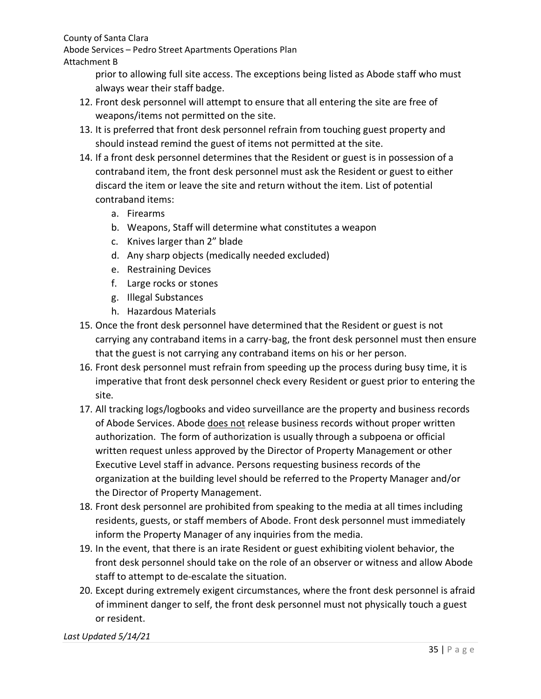Abode Services – Pedro Street Apartments Operations Plan

### Attachment B

prior to allowing full site access. The exceptions being listed as Abode staff who must always wear their staff badge.

- 12. Front desk personnel will attempt to ensure that all entering the site are free of weapons/items not permitted on the site.
- 13. It is preferred that front desk personnel refrain from touching guest property and should instead remind the guest of items not permitted at the site.
- 14. If a front desk personnel determines that the Resident or guest is in possession of a contraband item, the front desk personnel must ask the Resident or guest to either discard the item or leave the site and return without the item. List of potential contraband items:
	- a. Firearms
	- b. Weapons, Staff will determine what constitutes a weapon
	- c. Knives larger than 2" blade
	- d. Any sharp objects (medically needed excluded)
	- e. Restraining Devices
	- f. Large rocks or stones
	- g. Illegal Substances
	- h. Hazardous Materials
- 15. Once the front desk personnel have determined that the Resident or guest is not carrying any contraband items in a carry-bag, the front desk personnel must then ensure that the guest is not carrying any contraband items on his or her person.
- 16. Front desk personnel must refrain from speeding up the process during busy time, it is imperative that front desk personnel check every Resident or guest prior to entering the site.
- 17. All tracking logs/logbooks and video surveillance are the property and business records of Abode Services. Abode does not release business records without proper written authorization. The form of authorization is usually through a subpoena or official written request unless approved by the Director of Property Management or other Executive Level staff in advance. Persons requesting business records of the organization at the building level should be referred to the Property Manager and/or the Director of Property Management.
- 18. Front desk personnel are prohibited from speaking to the media at all times including residents, guests, or staff members of Abode. Front desk personnel must immediately inform the Property Manager of any inquiries from the media.
- 19. In the event, that there is an irate Resident or guest exhibiting violent behavior, the front desk personnel should take on the role of an observer or witness and allow Abode staff to attempt to de-escalate the situation.
- 20. Except during extremely exigent circumstances, where the front desk personnel is afraid of imminent danger to self, the front desk personnel must not physically touch a guest or resident.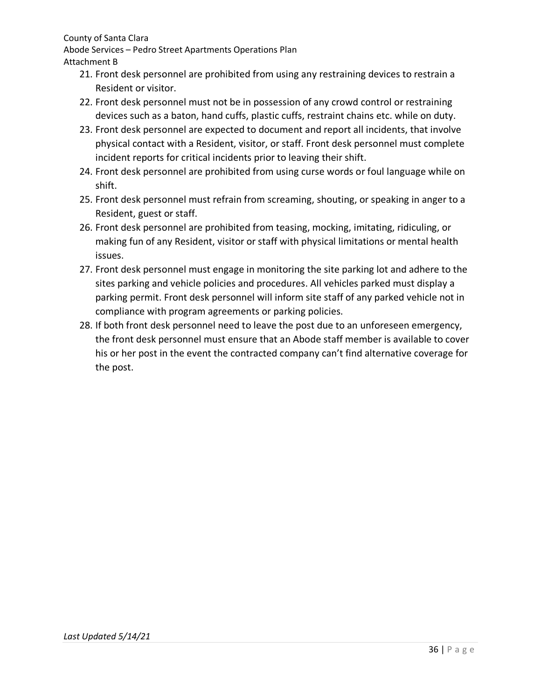Abode Services – Pedro Street Apartments Operations Plan Attachment B

- 21. Front desk personnel are prohibited from using any restraining devices to restrain a Resident or visitor.
- 22. Front desk personnel must not be in possession of any crowd control or restraining devices such as a baton, hand cuffs, plastic cuffs, restraint chains etc. while on duty.
- 23. Front desk personnel are expected to document and report all incidents, that involve physical contact with a Resident, visitor, or staff. Front desk personnel must complete incident reports for critical incidents prior to leaving their shift.
- 24. Front desk personnel are prohibited from using curse words or foul language while on shift.
- 25. Front desk personnel must refrain from screaming, shouting, or speaking in anger to a Resident, guest or staff.
- 26. Front desk personnel are prohibited from teasing, mocking, imitating, ridiculing, or making fun of any Resident, visitor or staff with physical limitations or mental health issues.
- 27. Front desk personnel must engage in monitoring the site parking lot and adhere to the sites parking and vehicle policies and procedures. All vehicles parked must display a parking permit. Front desk personnel will inform site staff of any parked vehicle not in compliance with program agreements or parking policies.
- 28. If both front desk personnel need to leave the post due to an unforeseen emergency, the front desk personnel must ensure that an Abode staff member is available to cover his or her post in the event the contracted company can't find alternative coverage for the post.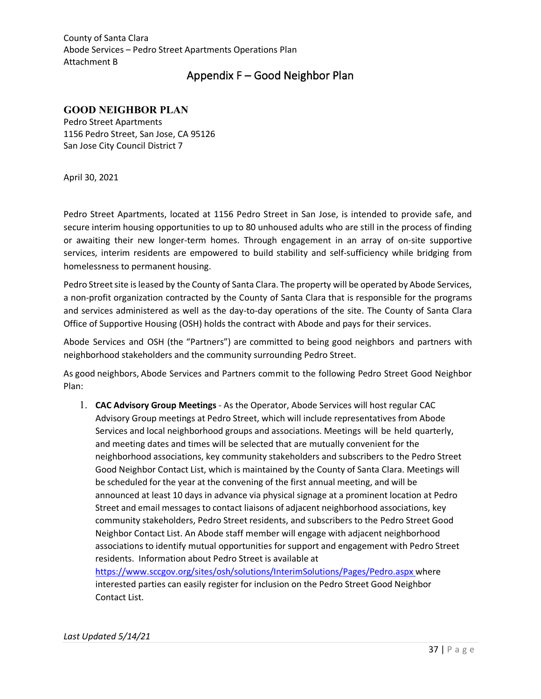## Appendix F – Good Neighbor Plan

#### <span id="page-36-0"></span>**GOOD NEIGHBOR PLAN**

Pedro Street Apartments 1156 Pedro Street, San Jose, CA 95126 San Jose City Council District 7

April 30, 2021

Pedro Street Apartments, located at 1156 Pedro Street in San Jose, is intended to provide safe, and secure interim housing opportunities to up to 80 unhoused adults who are still in the process of finding or awaiting their new longer-term homes. Through engagement in an array of on-site supportive services, interim residents are empowered to build stability and self-sufficiency while bridging from homelessness to permanent housing.

Pedro Street site is leased by the County of Santa Clara. The property will be operated by Abode Services, a non-profit organization contracted by the County of Santa Clara that is responsible for the programs and services administered as well as the day-to-day operations of the site. The County of Santa Clara Office of Supportive Housing (OSH) holds the contract with Abode and pays for their services.

Abode Services and OSH (the "Partners") are committed to being good neighbors and partners with neighborhood stakeholders and the community surrounding Pedro Street.

As good neighbors, Abode Services and Partners commit to the following Pedro Street Good Neighbor Plan:

1. **CAC Advisory Group Meetings** - As the Operator, Abode Services will host regular CAC Advisory Group meetings at Pedro Street, which will include representatives from Abode Services and local neighborhood groups and associations. Meetings will be held quarterly, and meeting dates and times will be selected that are mutually convenient for the neighborhood associations, key community stakeholders and subscribers to the Pedro Street Good Neighbor Contact List, which is maintained by the County of Santa Clara. Meetings will be scheduled for the year at the convening of the first annual meeting, and will be announced at least 10 days in advance via physical signage at a prominent location at Pedro Street and email messages to contact liaisons of adjacent neighborhood associations, key community stakeholders, Pedro Street residents, and subscribers to the Pedro Street Good Neighbor Contact List. An Abode staff member will engage with adjacent neighborhood associations to identify mutual opportunities for support and engagement with Pedro Street residents. Information about Pedro Street is available at <https://www.sccgov.org/sites/osh/solutions/InterimSolutions/Pages/Pedro.aspx> where

interested parties can easily register for inclusion on the Pedro Street Good Neighbor Contact List.